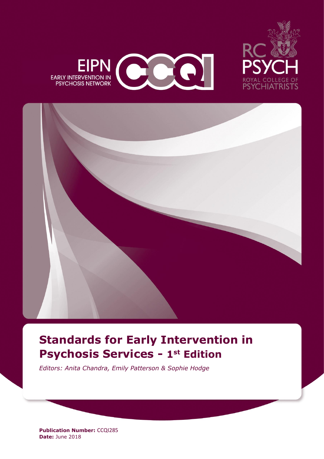





# **Standards for Early Intervention in Psychosis Services - 1 st Edition**

*Editors: Anita Chandra, Emily Patterson & Sophie Hodge*

**Publication Number: CCQI285 Date:** June 2018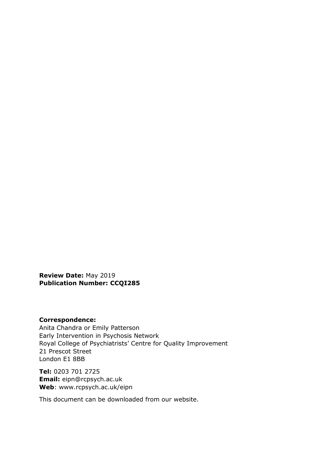**Review Date:** May 2019 **Publication Number: CCQI285**

#### **Correspondence:**

Anita Chandra or Emily Patterson Early Intervention in Psychosis Network Royal College of Psychiatrists' Centre for Quality Improvement 21 Prescot Street London E1 8BB

**Tel:** 0203 701 2725 **Email:** eipn@rcpsych.ac.uk **Web**: www.rcpsych.ac.uk/eipn

This document can be downloaded from our website.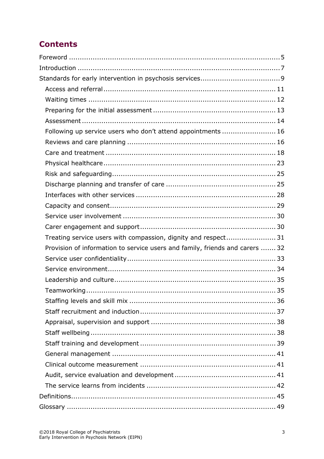# **Contents**

| Following up service users who don't attend appointments  16                 |  |
|------------------------------------------------------------------------------|--|
|                                                                              |  |
|                                                                              |  |
|                                                                              |  |
|                                                                              |  |
|                                                                              |  |
|                                                                              |  |
|                                                                              |  |
|                                                                              |  |
|                                                                              |  |
| Treating service users with compassion, dignity and respect 31               |  |
| Provision of information to service users and family, friends and carers  32 |  |
|                                                                              |  |
|                                                                              |  |
|                                                                              |  |
|                                                                              |  |
|                                                                              |  |
|                                                                              |  |
|                                                                              |  |
|                                                                              |  |
|                                                                              |  |
|                                                                              |  |
|                                                                              |  |
|                                                                              |  |
|                                                                              |  |
|                                                                              |  |
|                                                                              |  |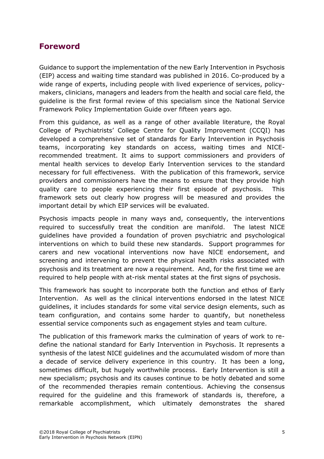## <span id="page-4-0"></span>**Foreword**

Guidance to support the implementation of the new Early Intervention in Psychosis (EIP) access and waiting time standard was published in 2016. Co-produced by a wide range of experts, including people with lived experience of services, policymakers, clinicians, managers and leaders from the health and social care field, the guideline is the first formal review of this specialism since the National Service Framework Policy Implementation Guide over fifteen years ago.

From this guidance, as well as a range of other available literature, the Royal College of Psychiatrists' College Centre for Quality Improvement (CCQI) has developed a comprehensive set of standards for Early Intervention in Psychosis teams, incorporating key standards on access, waiting times and NICErecommended treatment. It aims to support commissioners and providers of mental health services to develop Early Intervention services to the standard necessary for full effectiveness. With the publication of this framework, service providers and commissioners have the means to ensure that they provide high quality care to people experiencing their first episode of psychosis. This framework sets out clearly how progress will be measured and provides the important detail by which EIP services will be evaluated.

Psychosis impacts people in many ways and, consequently, the interventions required to successfully treat the condition are manifold. The latest NICE guidelines have provided a foundation of proven psychiatric and psychological interventions on which to build these new standards. Support programmes for carers and new vocational interventions now have NICE endorsement, and screening and intervening to prevent the physical health risks associated with psychosis and its treatment are now a requirement. And, for the first time we are required to help people with at-risk mental states at the first signs of psychosis.

This framework has sought to incorporate both the function and ethos of Early Intervention. As well as the clinical interventions endorsed in the latest NICE guidelines, it includes standards for some vital service design elements, such as team configuration, and contains some harder to quantify, but nonetheless essential service components such as engagement styles and team culture.

The publication of this framework marks the culmination of years of work to redefine the national standard for Early Intervention in Psychosis. It represents a synthesis of the latest NICE guidelines and the accumulated wisdom of more than a decade of service delivery experience in this country. It has been a long, sometimes difficult, but hugely worthwhile process. Early Intervention is still a new specialism; psychosis and its causes continue to be hotly debated and some of the recommended therapies remain contentious. Achieving the consensus required for the guideline and this framework of standards is, therefore, a remarkable accomplishment, which ultimately demonstrates the shared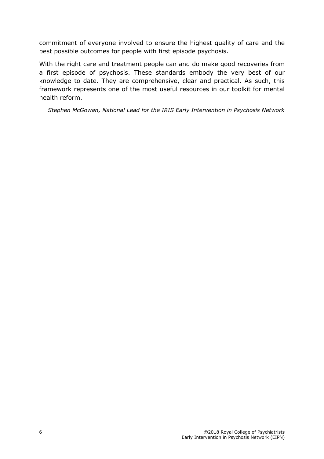commitment of everyone involved to ensure the highest quality of care and the best possible outcomes for people with first episode psychosis.

With the right care and treatment people can and do make good recoveries from a first episode of psychosis. These standards embody the very best of our knowledge to date. They are comprehensive, clear and practical. As such, this framework represents one of the most useful resources in our toolkit for mental health reform.

*Stephen McGowan, National Lead for the IRIS Early Intervention in Psychosis Network*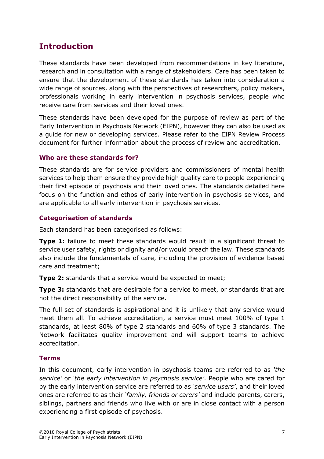# <span id="page-6-0"></span>**Introduction**

These standards have been developed from recommendations in key literature, research and in consultation with a range of stakeholders. Care has been taken to ensure that the development of these standards has taken into consideration a wide range of sources, along with the perspectives of researchers, policy makers, professionals working in early intervention in psychosis services, people who receive care from services and their loved ones.

These standards have been developed for the purpose of review as part of the Early Intervention in Psychosis Network (EIPN), however they can also be used as a guide for new or developing services. Please refer to the EIPN Review Process document for further information about the process of review and accreditation.

#### **Who are these standards for?**

These standards are for service providers and commissioners of mental health services to help them ensure they provide high quality care to people experiencing their first episode of psychosis and their loved ones. The standards detailed here focus on the function and ethos of early intervention in psychosis services, and are applicable to all early intervention in psychosis services.

#### **Categorisation of standards**

Each standard has been categorised as follows:

**Type 1:** failure to meet these standards would result in a significant threat to service user safety, rights or dignity and/or would breach the law. These standards also include the fundamentals of care, including the provision of evidence based care and treatment;

**Type 2:** standards that a service would be expected to meet;

**Type 3:** standards that are desirable for a service to meet, or standards that are not the direct responsibility of the service.

The full set of standards is aspirational and it is unlikely that any service would meet them all. To achieve accreditation, a service must meet 100% of type 1 standards, at least 80% of type 2 standards and 60% of type 3 standards. The Network facilitates quality improvement and will support teams to achieve accreditation.

#### **Terms**

In this document, early intervention in psychosis teams are referred to as *'the service'* or *'the early intervention in psychosis service'.* People who are cared for by the early intervention service are referred to as *'service users'*, and their loved ones are referred to as their *'family, friends or carers'* and include parents, carers, siblings, partners and friends who live with or are in close contact with a person experiencing a first episode of psychosis.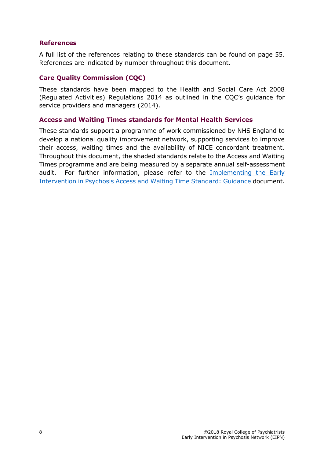#### **References**

A full list of the references relating to these standards can be found on page [55.](#page-54-0) References are indicated by number throughout this document.

#### **Care Quality Commission (CQC)**

These standards have been mapped to the Health and Social Care Act 2008 (Regulated Activities) Regulations 2014 as outlined in the CQC's guidance for service providers and managers (2014).

#### **Access and Waiting Times standards for Mental Health Services**

These standards support a programme of work commissioned by NHS England to develop a national quality improvement network, supporting services to improve their access, waiting times and the availability of NICE concordant treatment. Throughout this document, the shaded standards relate to the Access and Waiting Times programme and are being measured by a separate annual self-assessment audit. For further information, please refer to the [Implementing the Early](https://www.england.nhs.uk/mentalhealth/wp-content/uploads/sites/29/2016/04/eip-guidance.pdf)  [Intervention in Psychosis Access and Waiting Time Standard: Guidance](https://www.england.nhs.uk/mentalhealth/wp-content/uploads/sites/29/2016/04/eip-guidance.pdf) document.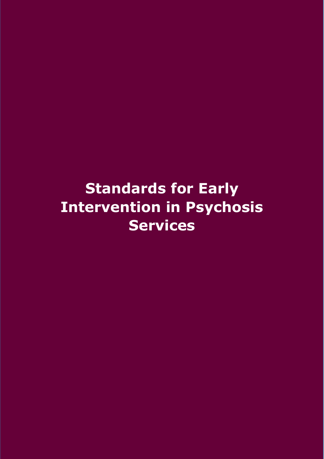# <span id="page-8-0"></span>**Standards for Early Intervention in Psychosis Services**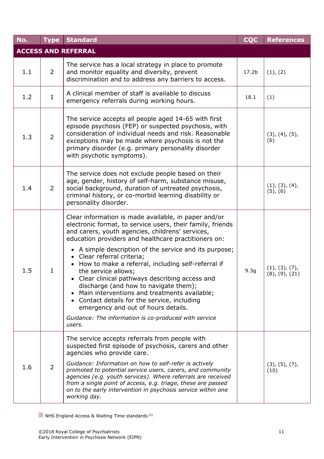<span id="page-10-0"></span>

| No.                        | <b>Type</b>    | <b>Standard</b>                                                                                                                                                                                                                                                                                                                                                                                                                                                                                                                                                                                                                                                                                         | <b>CQC</b>        | <b>References</b>                        |  |  |  |
|----------------------------|----------------|---------------------------------------------------------------------------------------------------------------------------------------------------------------------------------------------------------------------------------------------------------------------------------------------------------------------------------------------------------------------------------------------------------------------------------------------------------------------------------------------------------------------------------------------------------------------------------------------------------------------------------------------------------------------------------------------------------|-------------------|------------------------------------------|--|--|--|
| <b>ACCESS AND REFERRAL</b> |                |                                                                                                                                                                                                                                                                                                                                                                                                                                                                                                                                                                                                                                                                                                         |                   |                                          |  |  |  |
| 1.1                        | 2              | The service has a local strategy in place to promote<br>and monitor equality and diversity, prevent<br>discrimination and to address any barriers to access.                                                                                                                                                                                                                                                                                                                                                                                                                                                                                                                                            | 17.2 <sub>b</sub> | (1), (2)                                 |  |  |  |
| 1.2                        | $\mathbf{1}$   | A clinical member of staff is available to discuss<br>emergency referrals during working hours.                                                                                                                                                                                                                                                                                                                                                                                                                                                                                                                                                                                                         | 18.1              | (1)                                      |  |  |  |
| 1.3                        | $\overline{2}$ | The service accepts all people aged 14-65 with first<br>episode psychosis (FEP) or suspected psychosis, with<br>consideration of individual needs and risk. Reasonable<br>exceptions may be made where psychosis is not the<br>primary disorder (e.g. primary personality disorder<br>with psychotic symptoms).                                                                                                                                                                                                                                                                                                                                                                                         |                   | (3), (4), (5),<br>(6)                    |  |  |  |
| 1.4                        | 2              | The service does not exclude people based on their<br>age, gender, history of self-harm, substance misuse,<br>social background, duration of untreated psychosis,<br>criminal history, or co-morbid learning disability or<br>personality disorder.                                                                                                                                                                                                                                                                                                                                                                                                                                                     |                   | (1), (3), (4),<br>$(5)$ , $(6)$          |  |  |  |
| 1.5                        | $\mathbf{1}$   | Clear information is made available, in paper and/or<br>electronic format, to service users, their family, friends<br>and carers, youth agencies, childrens' services,<br>education providers and healthcare practitioners on:<br>• A simple description of the service and its purpose;<br>• Clear referral criteria;<br>How to make a referral, including self-referral if<br>the service allows;<br>Clear clinical pathways describing access and<br>discharge (and how to navigate them);<br>Main interventions and treatments available;<br>• Contact details for the service, including<br>emergency and out of hours details.<br>Guidance: The information is co-produced with service<br>users. | 9.3 <sub>g</sub>  | (1), (3), (7),<br>$(8)$ , $(9)$ , $(21)$ |  |  |  |
| 1.6                        | 2              | The service accepts referrals from people with<br>suspected first episode of psychosis, carers and other<br>agencies who provide care.<br>Guidance: Information on how to self-refer is actively<br>promoted to potential service users, carers, and community<br>agencies (e.g. youth services). Where referrals are received<br>from a single point of access, e.g. triage, these are passed<br>on to the early intervention in psychosis service within one<br>working day.                                                                                                                                                                                                                          |                   | (3), (5), (7),<br>(10)                   |  |  |  |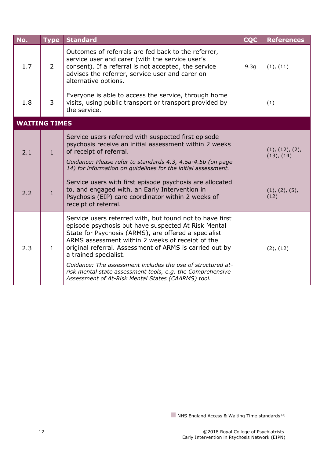<span id="page-11-0"></span>

| No.                  | <b>Type</b>    | <b>Standard</b>                                                                                                                                                                                                                                                                                                                                                                                                                                                                                    | <b>CQC</b>       | <b>References</b>                  |
|----------------------|----------------|----------------------------------------------------------------------------------------------------------------------------------------------------------------------------------------------------------------------------------------------------------------------------------------------------------------------------------------------------------------------------------------------------------------------------------------------------------------------------------------------------|------------------|------------------------------------|
| 1.7                  | $\overline{2}$ | Outcomes of referrals are fed back to the referrer,<br>service user and carer (with the service user's<br>consent). If a referral is not accepted, the service<br>advises the referrer, service user and carer on<br>alternative options.                                                                                                                                                                                                                                                          | 9.3 <sub>g</sub> | (1), (11)                          |
| 1.8                  | 3              | Everyone is able to access the service, through home<br>visits, using public transport or transport provided by<br>the service.                                                                                                                                                                                                                                                                                                                                                                    |                  | (1)                                |
| <b>WAITING TIMES</b> |                |                                                                                                                                                                                                                                                                                                                                                                                                                                                                                                    |                  |                                    |
| 2.1                  | $\mathbf{1}$   | Service users referred with suspected first episode<br>psychosis receive an initial assessment within 2 weeks<br>of receipt of referral.<br>Guidance: Please refer to standards 4.3, 4.5a-4.5b (on page<br>14) for information on guidelines for the initial assessment.                                                                                                                                                                                                                           |                  | (1), (12), (2),<br>$(13)$ , $(14)$ |
| 2.2                  | $\mathbf{1}$   | Service users with first episode psychosis are allocated<br>to, and engaged with, an Early Intervention in<br>Psychosis (EIP) care coordinator within 2 weeks of<br>receipt of referral.                                                                                                                                                                                                                                                                                                           |                  | (1), (2), (5),<br>(12)             |
| 2.3                  | $\mathbf{1}$   | Service users referred with, but found not to have first<br>episode psychosis but have suspected At Risk Mental<br>State for Psychosis (ARMS), are offered a specialist<br>ARMS assessment within 2 weeks of receipt of the<br>original referral. Assessment of ARMS is carried out by<br>a trained specialist.<br>Guidance: The assessment includes the use of structured at-<br>risk mental state assessment tools, e.g. the Comprehensive<br>Assessment of At-Risk Mental States (CAARMS) tool. |                  | (2), (12)                          |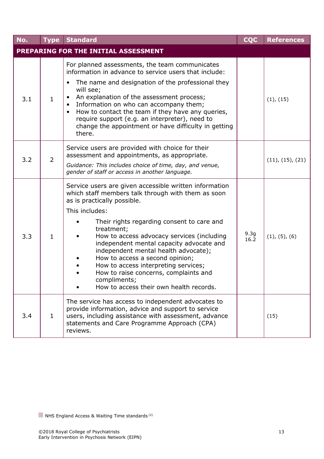<span id="page-12-0"></span>

| No. | <b>Type</b>    | <b>Standard</b>                                                                                                                                                                                                                                                                                                                                                                                                                                                                                                                            | <b>CQC</b>               | <b>References</b> |
|-----|----------------|--------------------------------------------------------------------------------------------------------------------------------------------------------------------------------------------------------------------------------------------------------------------------------------------------------------------------------------------------------------------------------------------------------------------------------------------------------------------------------------------------------------------------------------------|--------------------------|-------------------|
|     |                | PREPARING FOR THE INITIAL ASSESSMENT                                                                                                                                                                                                                                                                                                                                                                                                                                                                                                       |                          |                   |
| 3.1 | $\mathbf{1}$   | For planned assessments, the team communicates<br>information in advance to service users that include:<br>The name and designation of the professional they<br>will see;<br>An explanation of the assessment process;<br>Information on who can accompany them;<br>How to contact the team if they have any queries,<br>require support (e.g. an interpreter), need to<br>change the appointment or have difficulty in getting<br>there.                                                                                                  |                          | (1), (15)         |
| 3.2 | $\overline{2}$ | Service users are provided with choice for their<br>assessment and appointments, as appropriate.<br>Guidance: This includes choice of time, day, and venue,<br>gender of staff or access in another language.                                                                                                                                                                                                                                                                                                                              |                          | (11), (15), (21)  |
| 3.3 | $\mathbf{1}$   | Service users are given accessible written information<br>which staff members talk through with them as soon<br>as is practically possible.<br>This includes:<br>Their rights regarding consent to care and<br>treatment;<br>How to access advocacy services (including<br>independent mental capacity advocate and<br>independent mental health advocate);<br>How to access a second opinion;<br>How to access interpreting services;<br>How to raise concerns, complaints and<br>compliments;<br>How to access their own health records. | 9.3 <sub>g</sub><br>16.2 | (1), (5), (6)     |
| 3.4 | $\mathbf{1}$   | The service has access to independent advocates to<br>provide information, advice and support to service<br>users, including assistance with assessment, advance<br>statements and Care Programme Approach (CPA)<br>reviews.                                                                                                                                                                                                                                                                                                               |                          | (15)              |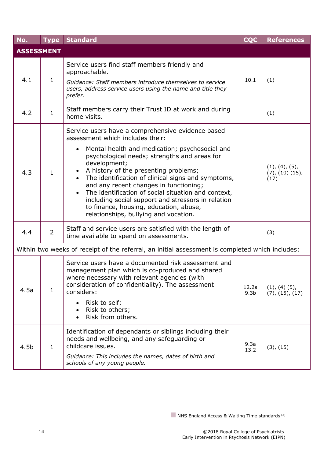<span id="page-13-0"></span>

| No.              | <b>Type</b>       | <b>Standard</b>                                                                                                                                                                                                                                                                                                                                                                                                                                                                                                                                                            | <b>CQC</b>                | <b>References</b>                          |  |  |  |  |
|------------------|-------------------|----------------------------------------------------------------------------------------------------------------------------------------------------------------------------------------------------------------------------------------------------------------------------------------------------------------------------------------------------------------------------------------------------------------------------------------------------------------------------------------------------------------------------------------------------------------------------|---------------------------|--------------------------------------------|--|--|--|--|
|                  | <b>ASSESSMENT</b> |                                                                                                                                                                                                                                                                                                                                                                                                                                                                                                                                                                            |                           |                                            |  |  |  |  |
| 4.1              | 1                 | Service users find staff members friendly and<br>approachable.<br>Guidance: Staff members introduce themselves to service<br>users, address service users using the name and title they<br>prefer.                                                                                                                                                                                                                                                                                                                                                                         | 10.1                      | (1)                                        |  |  |  |  |
| 4.2              | $\mathbf{1}$      | Staff members carry their Trust ID at work and during<br>home visits.                                                                                                                                                                                                                                                                                                                                                                                                                                                                                                      |                           | (1)                                        |  |  |  |  |
| 4.3              | $\mathbf{1}$      | Service users have a comprehensive evidence based<br>assessment which includes their:<br>Mental health and medication; psychosocial and<br>$\bullet$<br>psychological needs; strengths and areas for<br>development;<br>A history of the presenting problems;<br>The identification of clinical signs and symptoms,<br>and any recent changes in functioning;<br>The identification of social situation and context,<br>$\bullet$<br>including social support and stressors in relation<br>to finance, housing, education, abuse,<br>relationships, bullying and vocation. |                           | (1), (4), (5),<br>(7), (10), (15),<br>(17) |  |  |  |  |
| 4.4              | $\overline{2}$    | Staff and service users are satisfied with the length of<br>time available to spend on assessments.                                                                                                                                                                                                                                                                                                                                                                                                                                                                        |                           | (3)                                        |  |  |  |  |
|                  |                   | Within two weeks of receipt of the referral, an initial assessment is completed which includes:                                                                                                                                                                                                                                                                                                                                                                                                                                                                            |                           |                                            |  |  |  |  |
| 4.5a             | $\mathbf{1}$      | Service users have a documented risk assessment and<br>management plan which is co-produced and shared<br>where necessary with relevant agencies (with<br>consideration of confidentiality). The assessment<br>considers:<br>Risk to self;<br>Risk to others;<br>Risk from others.                                                                                                                                                                                                                                                                                         | 12.2a<br>9.3 <sub>b</sub> | $(1), (4)$ $(5),$<br>(7), (15), (17)       |  |  |  |  |
| 4.5 <sub>b</sub> | $\mathbf{1}$      | Identification of dependants or siblings including their<br>needs and wellbeing, and any safeguarding or<br>childcare issues.<br>Guidance: This includes the names, dates of birth and<br>schools of any young people.                                                                                                                                                                                                                                                                                                                                                     | 9.3a<br>13.2              | (3), (15)                                  |  |  |  |  |

 $\blacksquare$  NHS England Access & Waiting Time standards<sup>(2)</sup>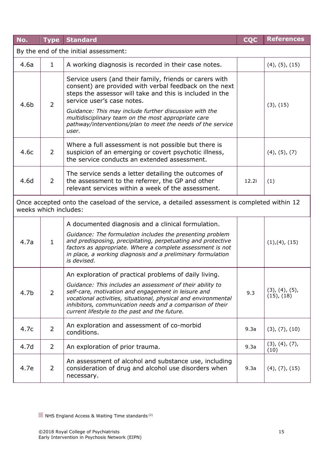| No.                                   | <b>Type</b>    | <b>Standard</b>                                                                                                                                                                                                                                                                                                                                                                                      | <b>CQC</b> | <b>References</b>                 |  |  |
|---------------------------------------|----------------|------------------------------------------------------------------------------------------------------------------------------------------------------------------------------------------------------------------------------------------------------------------------------------------------------------------------------------------------------------------------------------------------------|------------|-----------------------------------|--|--|
| By the end of the initial assessment: |                |                                                                                                                                                                                                                                                                                                                                                                                                      |            |                                   |  |  |
| 4.6a                                  | $\mathbf{1}$   | A working diagnosis is recorded in their case notes.                                                                                                                                                                                                                                                                                                                                                 |            | $(4)$ , $(5)$ , $(15)$            |  |  |
| 4.6b                                  | $\overline{2}$ | Service users (and their family, friends or carers with<br>consent) are provided with verbal feedback on the next<br>steps the assessor will take and this is included in the<br>service user's case notes.<br>Guidance: This may include further discussion with the<br>multidisciplinary team on the most appropriate care<br>pathway/interventions/plan to meet the needs of the service<br>user. |            | (3), (15)                         |  |  |
| 4.6c                                  | $\overline{2}$ | Where a full assessment is not possible but there is<br>suspicion of an emerging or covert psychotic illness,<br>the service conducts an extended assessment.                                                                                                                                                                                                                                        |            | $(4)$ , $(5)$ , $(7)$             |  |  |
| 4.6d                                  | $\overline{2}$ | The service sends a letter detailing the outcomes of<br>the assessment to the referrer, the GP and other<br>relevant services within a week of the assessment.                                                                                                                                                                                                                                       | 12.2i      | (1)                               |  |  |
| weeks which includes:                 |                | Once accepted onto the caseload of the service, a detailed assessment is completed within 12                                                                                                                                                                                                                                                                                                         |            |                                   |  |  |
| 4.7a                                  | $\mathbf{1}$   | A documented diagnosis and a clinical formulation.<br>Guidance: The formulation includes the presenting problem<br>and predisposing, precipitating, perpetuating and protective<br>factors as appropriate. Where a complete assessment is not<br>in place, a working diagnosis and a preliminary formulation<br>is devised.                                                                          |            | (1), (4), (15)                    |  |  |
| 4.7 <sub>b</sub>                      | $\overline{2}$ | An exploration of practical problems of daily living.<br>Guidance: This includes an assessment of their ability to<br>self-care, motivation and engagement in leisure and<br>vocational activities, situational, physical and environmental<br>inhibitors, communication needs and a comparison of their<br>current lifestyle to the past and the future.                                            | 9.3        | (3), (4), (5),<br>$(15)$ , $(18)$ |  |  |
| 4.7c                                  | $\overline{2}$ | An exploration and assessment of co-morbid<br>conditions.                                                                                                                                                                                                                                                                                                                                            | 9.3a       | (3), (7), (10)                    |  |  |
| 4.7d                                  | $\overline{2}$ | An exploration of prior trauma.                                                                                                                                                                                                                                                                                                                                                                      | 9.3a       | (3), (4), (7),<br>(10)            |  |  |
| 4.7e                                  | $\overline{2}$ | An assessment of alcohol and substance use, including<br>consideration of drug and alcohol use disorders when<br>necessary.                                                                                                                                                                                                                                                                          | 9.3a       | $(4)$ , $(7)$ , $(15)$            |  |  |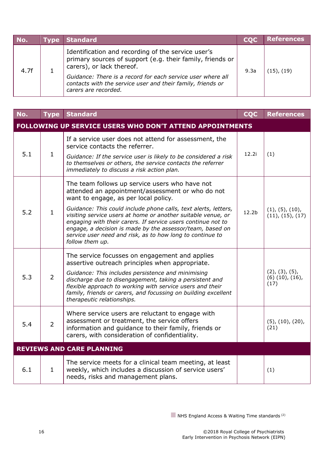| No.  | <b>Type</b> | Standard                                                                                                                                                                                                                                                                                           | <b>COC</b> | <b>References</b> |
|------|-------------|----------------------------------------------------------------------------------------------------------------------------------------------------------------------------------------------------------------------------------------------------------------------------------------------------|------------|-------------------|
| 4.7f |             | Identification and recording of the service user's<br>primary sources of support (e.g. their family, friends or<br>carers), or lack thereof.<br>Guidance: There is a record for each service user where all<br>contacts with the service user and their family, friends or<br>carers are recorded. | 9.3a       | $(15)$ , $(19)$   |

<span id="page-15-1"></span><span id="page-15-0"></span>

| No. | <b>Type</b>                      | <b>Standard</b>                                                                                                                                                                                                                                                                                                                                                                                                                                                                            | <b>CQC</b>        | <b>References</b>                                 |  |
|-----|----------------------------------|--------------------------------------------------------------------------------------------------------------------------------------------------------------------------------------------------------------------------------------------------------------------------------------------------------------------------------------------------------------------------------------------------------------------------------------------------------------------------------------------|-------------------|---------------------------------------------------|--|
|     |                                  | FOLLOWING UP SERVICE USERS WHO DON'T ATTEND APPOINTMENTS                                                                                                                                                                                                                                                                                                                                                                                                                                   |                   |                                                   |  |
| 5.1 | $\mathbf{1}$                     | If a service user does not attend for assessment, the<br>service contacts the referrer.<br>Guidance: If the service user is likely to be considered a risk<br>to themselves or others, the service contacts the referrer<br>immediately to discuss a risk action plan.                                                                                                                                                                                                                     | 12.2i             | (1)                                               |  |
| 5.2 | $\mathbf{1}$                     | The team follows up service users who have not<br>attended an appointment/assessment or who do not<br>want to engage, as per local policy.<br>Guidance: This could include phone calls, text alerts, letters,<br>visiting service users at home or another suitable venue, or<br>engaging with their carers. If service users continue not to<br>engage, a decision is made by the assessor/team, based on<br>service user need and risk, as to how long to continue to<br>follow them up. | 12.2 <sub>b</sub> | (1), (5), (10),<br>(11), (15), (17)               |  |
| 5.3 | $\overline{2}$                   | The service focusses on engagement and applies<br>assertive outreach principles when appropriate.<br>Guidance: This includes persistence and minimising<br>discharge due to disengagement, taking a persistent and<br>flexible approach to working with service users and their<br>family, friends or carers, and focussing on building excellent<br>therapeutic relationships.                                                                                                            |                   | (2), (3), (5),<br>$(6)$ $(10)$ , $(16)$ ,<br>(17) |  |
| 5.4 | $\overline{2}$                   | Where service users are reluctant to engage with<br>assessment or treatment, the service offers<br>information and guidance to their family, friends or<br>carers, with consideration of confidentiality.                                                                                                                                                                                                                                                                                  |                   | $(5)$ , $(10)$ , $(20)$ ,<br>(21)                 |  |
|     | <b>REVIEWS AND CARE PLANNING</b> |                                                                                                                                                                                                                                                                                                                                                                                                                                                                                            |                   |                                                   |  |
| 6.1 | $\mathbf{1}$                     | The service meets for a clinical team meeting, at least<br>weekly, which includes a discussion of service users'<br>needs, risks and management plans.                                                                                                                                                                                                                                                                                                                                     |                   | (1)                                               |  |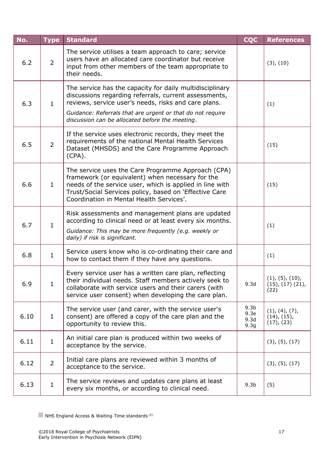| No.  | <b>Type</b>    | <b>Standard</b>                                                                                                                                                                                                                                                                            | <b>CQC</b>                                           | <b>References</b>                                      |
|------|----------------|--------------------------------------------------------------------------------------------------------------------------------------------------------------------------------------------------------------------------------------------------------------------------------------------|------------------------------------------------------|--------------------------------------------------------|
| 6.2  | $\overline{2}$ | The service utilises a team approach to care; service<br>users have an allocated care coordinator but receive<br>input from other members of the team appropriate to<br>their needs.                                                                                                       |                                                      | (3), (10)                                              |
| 6.3  | $\mathbf{1}$   | The service has the capacity for daily multidisciplinary<br>discussions regarding referrals, current assessments,<br>reviews, service user's needs, risks and care plans.<br>Guidance: Referrals that are urgent or that do not require<br>discussion can be allocated before the meeting. |                                                      | (1)                                                    |
| 6.5  | $\overline{2}$ | If the service uses electronic records, they meet the<br>requirements of the national Mental Health Services<br>Dataset (MHSDS) and the Care Programme Approach<br>$(CPA)$ .                                                                                                               |                                                      | (15)                                                   |
| 6.6  | $\mathbf{1}$   | The service uses the Care Programme Approach (CPA)<br>framework (or equivalent) when necessary for the<br>needs of the service user, which is applied in line with<br>Trust/Social Services policy, based on 'Effective Care<br>Coordination in Mental Health Services'.                   |                                                      | (15)                                                   |
| 6.7  | $\mathbf{1}$   | Risk assessments and management plans are updated<br>according to clinical need or at least every six months.<br>Guidance: This may be more frequently (e.g. weekly or<br>daily) if risk is significant.                                                                                   |                                                      | (1)                                                    |
| 6.8  | $\mathbf{1}$   | Service users know who is co-ordinating their care and<br>how to contact them if they have any questions.                                                                                                                                                                                  |                                                      | (1)                                                    |
| 6.9  | $\mathbf{1}$   | Every service user has a written care plan, reflecting<br>their individual needs. Staff members actively seek to<br>collaborate with service users and their carers (with<br>service user consent) when developing the care plan.                                                          | 9.3d                                                 | (1), (5), (10),<br>$(15)$ , $(17)$ $(21)$ ,<br>(22)    |
| 6.10 | $\mathbf{1}$   | The service user (and carer, with the service user's<br>consent) are offered a copy of the care plan and the<br>opportunity to review this.                                                                                                                                                | 9.3 <sub>b</sub><br>9.3e<br>9.3d<br>9.3 <sub>g</sub> | (1), (4), (7),<br>$(14)$ , $(15)$ ,<br>$(17)$ , $(23)$ |
| 6.11 | $\mathbf{1}$   | An initial care plan is produced within two weeks of<br>acceptance by the service.                                                                                                                                                                                                         |                                                      | (3), (5), (17)                                         |
| 6.12 | $\overline{2}$ | Initial care plans are reviewed within 3 months of<br>acceptance to the service.                                                                                                                                                                                                           |                                                      | (3), (5), (17)                                         |
| 6.13 | $\mathbf{1}$   | The service reviews and updates care plans at least<br>every six months, or according to clinical need.                                                                                                                                                                                    | 9.3 <sub>b</sub>                                     | (5)                                                    |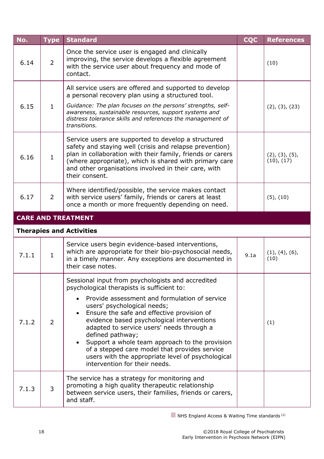<span id="page-17-0"></span>

| No.   | <b>Type</b>    | <b>Standard</b>                                                                                                                                                                                                                                                                                                                                                                                                                                                                                                                       | <b>CQC</b> | <b>References</b>            |
|-------|----------------|---------------------------------------------------------------------------------------------------------------------------------------------------------------------------------------------------------------------------------------------------------------------------------------------------------------------------------------------------------------------------------------------------------------------------------------------------------------------------------------------------------------------------------------|------------|------------------------------|
| 6.14  | $\overline{2}$ | Once the service user is engaged and clinically<br>improving, the service develops a flexible agreement<br>with the service user about frequency and mode of<br>contact.                                                                                                                                                                                                                                                                                                                                                              |            | (10)                         |
| 6.15  | $\mathbf{1}$   | All service users are offered and supported to develop<br>a personal recovery plan using a structured tool.<br>Guidance: The plan focuses on the persons' strengths, self-<br>awareness, sustainable resources, support systems and<br>distress tolerance skills and references the management of<br>transitions.                                                                                                                                                                                                                     |            | (2), (3), (23)               |
| 6.16  | $\mathbf{1}$   | Service users are supported to develop a structured<br>safety and staying well (crisis and relapse prevention)<br>plan in collaboration with their family, friends or carers<br>(where appropriate), which is shared with primary care<br>and other organisations involved in their care, with<br>their consent.                                                                                                                                                                                                                      |            | (2), (3), (5),<br>(10), (17) |
| 6.17  | $\overline{2}$ | Where identified/possible, the service makes contact<br>with service users' family, friends or carers at least<br>once a month or more frequently depending on need.                                                                                                                                                                                                                                                                                                                                                                  |            | $(5)$ , $(10)$               |
|       |                | <b>CARE AND TREATMENT</b>                                                                                                                                                                                                                                                                                                                                                                                                                                                                                                             |            |                              |
|       |                | <b>Therapies and Activities</b>                                                                                                                                                                                                                                                                                                                                                                                                                                                                                                       |            |                              |
| 7.1.1 | $\mathbf{1}$   | Service users begin evidence-based interventions,<br>which are appropriate for their bio-psychosocial needs,<br>in a timely manner. Any exceptions are documented in<br>their case notes.                                                                                                                                                                                                                                                                                                                                             | 9.1a       | (1), (4), (6),<br>(10)       |
| 7.1.2 | $\overline{2}$ | Sessional input from psychologists and accredited<br>psychological therapists is sufficient to:<br>Provide assessment and formulation of service<br>users' psychological needs;<br>Ensure the safe and effective provision of<br>evidence based psychological interventions<br>adapted to service users' needs through a<br>defined pathway;<br>Support a whole team approach to the provision<br>of a stepped care model that provides service<br>users with the appropriate level of psychological<br>intervention for their needs. |            | (1)                          |
| 7.1.3 | 3              | The service has a strategy for monitoring and<br>promoting a high quality therapeutic relationship<br>between service users, their families, friends or carers,<br>and staff.                                                                                                                                                                                                                                                                                                                                                         |            |                              |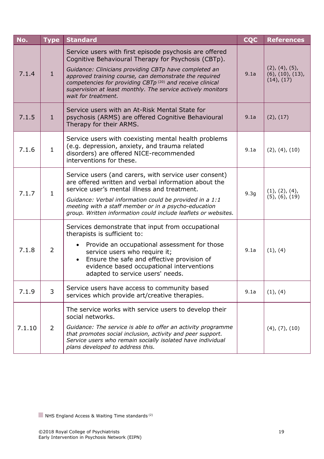| No.    | <b>Type</b>    | <b>Standard</b>                                                                                                                                                                                                                                                                                                                                                                                | <b>CQC</b>       | <b>References</b>                                              |
|--------|----------------|------------------------------------------------------------------------------------------------------------------------------------------------------------------------------------------------------------------------------------------------------------------------------------------------------------------------------------------------------------------------------------------------|------------------|----------------------------------------------------------------|
| 7.1.4  | $\mathbf{1}$   | Service users with first episode psychosis are offered<br>Cognitive Behavioural Therapy for Psychosis (CBTp).<br>Guidance: Clinicians providing CBTp have completed an<br>approved training course, can demonstrate the required<br>competencies for providing CBTp <sup>(20)</sup> and receive clinical<br>supervision at least monthly. The service actively monitors<br>wait for treatment. | 9.1a             | (2), (4), (5),<br>$(6)$ , $(10)$ , $(13)$ ,<br>$(14)$ , $(17)$ |
| 7.1.5  | $\mathbf{1}$   | Service users with an At-Risk Mental State for<br>psychosis (ARMS) are offered Cognitive Behavioural<br>Therapy for their ARMS.                                                                                                                                                                                                                                                                | 9.1a             | (2), (17)                                                      |
| 7.1.6  | $\mathbf{1}$   | Service users with coexisting mental health problems<br>(e.g. depression, anxiety, and trauma related<br>disorders) are offered NICE-recommended<br>interventions for these.                                                                                                                                                                                                                   | 9.1a             | (2), (4), (10)                                                 |
| 7.1.7  | $\mathbf{1}$   | Service users (and carers, with service user consent)<br>are offered written and verbal information about the<br>service user's mental illness and treatment.<br>Guidance: Verbal information could be provided in a 1:1<br>meeting with a staff member or in a psycho-education<br>group. Written information could include leaflets or websites.                                             | 9.3 <sub>g</sub> | (1), (2), (4),<br>$(5)$ , $(6)$ , $(19)$                       |
| 7.1.8  | $\overline{2}$ | Services demonstrate that input from occupational<br>therapists is sufficient to:<br>Provide an occupational assessment for those<br>service users who require it;<br>Ensure the safe and effective provision of<br>evidence based occupational interventions<br>adapted to service users' needs.                                                                                              | 9.1a             | (1), (4)                                                       |
| 7.1.9  | 3              | Service users have access to community based<br>services which provide art/creative therapies.                                                                                                                                                                                                                                                                                                 | 9.1a             | (1), (4)                                                       |
| 7.1.10 | $\overline{2}$ | The service works with service users to develop their<br>social networks.<br>Guidance: The service is able to offer an activity programme<br>that promotes social inclusion, activity and peer support.<br>Service users who remain socially isolated have individual<br>plans developed to address this.                                                                                      |                  | $(4)$ , $(7)$ , $(10)$                                         |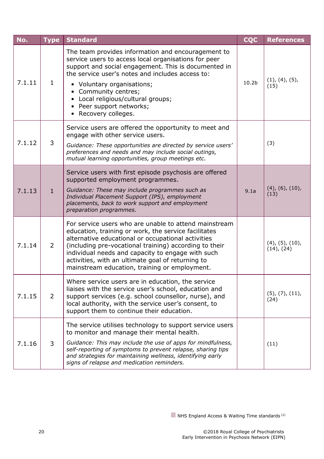| No.    | <b>Type</b>    | <b>Standard</b>                                                                                                                                                                                                                                                                                                                                                                          | <b>CQC</b>        | <b>References</b>                           |
|--------|----------------|------------------------------------------------------------------------------------------------------------------------------------------------------------------------------------------------------------------------------------------------------------------------------------------------------------------------------------------------------------------------------------------|-------------------|---------------------------------------------|
| 7.1.11 | $\mathbf{1}$   | The team provides information and encouragement to<br>service users to access local organisations for peer<br>support and social engagement. This is documented in<br>the service user's notes and includes access to:<br>• Voluntary organisations;<br>• Community centres;<br>• Local religious/cultural groups;<br>Peer support networks;<br>Recovery colleges.                       | 10.2 <sub>b</sub> | (1), (4), (5),<br>(15)                      |
| 7.1.12 | 3              | Service users are offered the opportunity to meet and<br>engage with other service users.<br>Guidance: These opportunities are directed by service users'<br>preferences and needs and may include social outings,<br>mutual learning opportunities, group meetings etc.                                                                                                                 |                   | (3)                                         |
| 7.1.13 | $\mathbf{1}$   | Service users with first episode psychosis are offered<br>supported employment programmes.<br>Guidance: These may include programmes such as<br>Individual Placement Support (IPS), employment<br>placements, back to work support and employment<br>preparation programmes.                                                                                                             | 9.1a              | $(4)$ , $(6)$ , $(10)$ ,<br>(13)            |
| 7.1.14 | $\overline{2}$ | For service users who are unable to attend mainstream<br>education, training or work, the service facilitates<br>alternative educational or occupational activities<br>(including pre-vocational training) according to their<br>individual needs and capacity to engage with such<br>activities, with an ultimate goal of returning to<br>mainstream education, training or employment. |                   | $(4)$ , $(5)$ , $(10)$ ,<br>$(14)$ , $(24)$ |
| 7.1.15 | $\overline{2}$ | Where service users are in education, the service<br>liaises with the service user's school, education and<br>support services (e.g. school counsellor, nurse), and<br>local authority, with the service user's consent, to<br>support them to continue their education.                                                                                                                 |                   | $(5)$ , $(7)$ , $(11)$ ,<br>(24)            |
| 7.1.16 | 3              | The service utilises technology to support service users<br>to monitor and manage their mental health.<br>Guidance: This may include the use of apps for mindfulness,<br>self-reporting of symptoms to prevent relapse, sharing tips<br>and strategies for maintaining wellness, identifying early<br>signs of relapse and medication reminders.                                         |                   | (11)                                        |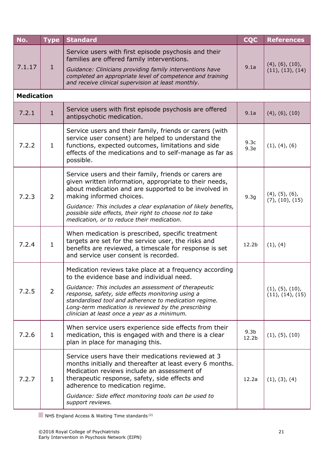| No.    | <b>Type</b>       | <b>Standard</b>                                                                                                                                                                                                                                                                                                                                                                  | <b>CQC</b>                            | <b>References</b>                            |  |  |  |
|--------|-------------------|----------------------------------------------------------------------------------------------------------------------------------------------------------------------------------------------------------------------------------------------------------------------------------------------------------------------------------------------------------------------------------|---------------------------------------|----------------------------------------------|--|--|--|
| 7.1.17 | $\mathbf{1}$      | Service users with first episode psychosis and their<br>families are offered family interventions.<br>Guidance: Clinicians providing family interventions have<br>completed an appropriate level of competence and training<br>and receive clinical supervision at least monthly.                                                                                                | 9.1a                                  | $(4)$ , $(6)$ , $(10)$ ,<br>(11), (13), (14) |  |  |  |
|        | <b>Medication</b> |                                                                                                                                                                                                                                                                                                                                                                                  |                                       |                                              |  |  |  |
| 7.2.1  | $\mathbf{1}$      | Service users with first episode psychosis are offered<br>antipsychotic medication.                                                                                                                                                                                                                                                                                              | 9.1a                                  | $(4)$ , $(6)$ , $(10)$                       |  |  |  |
| 7.2.2  | $\mathbf{1}$      | Service users and their family, friends or carers (with<br>service user consent) are helped to understand the<br>functions, expected outcomes, limitations and side<br>effects of the medications and to self-manage as far as<br>possible.                                                                                                                                      | 9.3 <sub>c</sub><br>9.3e              | (1), (4), (6)                                |  |  |  |
| 7.2.3  | 2                 | Service users and their family, friends or carers are<br>given written information, appropriate to their needs,<br>about medication and are supported to be involved in<br>making informed choices.<br>Guidance: This includes a clear explanation of likely benefits,<br>possible side effects, their right to choose not to take<br>medication, or to reduce their medication. | 9.3 <sub>g</sub>                      | $(4)$ , $(5)$ , $(6)$ ,<br>(7), (10), (15)   |  |  |  |
| 7.2.4  | $\mathbf{1}$      | When medication is prescribed, specific treatment<br>targets are set for the service user, the risks and<br>benefits are reviewed, a timescale for response is set<br>and service user consent is recorded.                                                                                                                                                                      | 12.2 <sub>b</sub>                     | (1), (4)                                     |  |  |  |
| 7.2.5  | $\overline{2}$    | Medication reviews take place at a frequency according<br>to the evidence base and individual need.<br>Guidance: This includes an assessment of therapeutic<br>response, safety, side effects monitoring using a<br>standardised tool and adherence to medication regime.<br>Long-term medication is reviewed by the prescribing<br>clinician at least once a year as a minimum. |                                       | (1), (5), (10),<br>(11), (14), (15)          |  |  |  |
| 7.2.6  | $\mathbf{1}$      | When service users experience side effects from their<br>medication, this is engaged with and there is a clear<br>plan in place for managing this.                                                                                                                                                                                                                               | 9.3 <sub>b</sub><br>12.2 <sub>b</sub> | (1), (5), (10)                               |  |  |  |
| 7.2.7  | $\mathbf{1}$      | Service users have their medications reviewed at 3<br>months initially and thereafter at least every 6 months.<br>Medication reviews include an assessment of<br>therapeutic response, safety, side effects and<br>adherence to medication regime.<br>Guidance: Side effect monitoring tools can be used to<br>support reviews.                                                  | 12.2a                                 | (1), (3), (4)                                |  |  |  |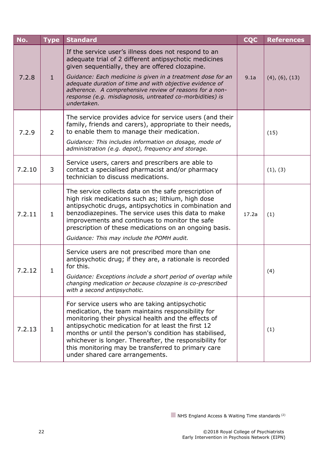| No.    | <b>Type</b>    | <b>Standard</b>                                                                                                                                                                                                                                                                                                                                                                                                                    | <b>CQC</b> | <b>References</b>      |
|--------|----------------|------------------------------------------------------------------------------------------------------------------------------------------------------------------------------------------------------------------------------------------------------------------------------------------------------------------------------------------------------------------------------------------------------------------------------------|------------|------------------------|
| 7.2.8  | $\mathbf{1}$   | If the service user's illness does not respond to an<br>adequate trial of 2 different antipsychotic medicines<br>given sequentially, they are offered clozapine.<br>Guidance: Each medicine is given in a treatment dose for an<br>adequate duration of time and with objective evidence of<br>adherence. A comprehensive review of reasons for a non-<br>response (e.g. misdiagnosis, untreated co-morbidities) is<br>undertaken. | 9.1a       | $(4)$ , $(6)$ , $(13)$ |
| 7.2.9  | $\overline{2}$ | The service provides advice for service users (and their<br>family, friends and carers), appropriate to their needs,<br>to enable them to manage their medication.<br>Guidance: This includes information on dosage, mode of<br>administration (e.g. depot), frequency and storage.                                                                                                                                                |            | (15)                   |
| 7.2.10 | 3              | Service users, carers and prescribers are able to<br>contact a specialised pharmacist and/or pharmacy<br>technician to discuss medications.                                                                                                                                                                                                                                                                                        |            | (1), (3)               |
| 7.2.11 | $\mathbf{1}$   | The service collects data on the safe prescription of<br>high risk medications such as; lithium, high dose<br>antipsychotic drugs, antipsychotics in combination and<br>benzodiazepines. The service uses this data to make<br>improvements and continues to monitor the safe<br>prescription of these medications on an ongoing basis.<br>Guidance: This may include the POMH audit.                                              | 17.2a      | (1)                    |
| 7.2.12 | $\mathbf{1}$   | Service users are not prescribed more than one<br>antipsychotic drug; if they are, a rationale is recorded<br>for this.<br>Guidance: Exceptions include a short period of overlap while<br>changing medication or because clozapine is co-prescribed<br>with a second antipsychotic.                                                                                                                                               |            | (4)                    |
| 7.2.13 | $\mathbf{1}$   | For service users who are taking antipsychotic<br>medication, the team maintains responsibility for<br>monitoring their physical health and the effects of<br>antipsychotic medication for at least the first 12<br>months or until the person's condition has stabilised,<br>whichever is longer. Thereafter, the responsibility for<br>this monitoring may be transferred to primary care<br>under shared care arrangements.     |            | (1)                    |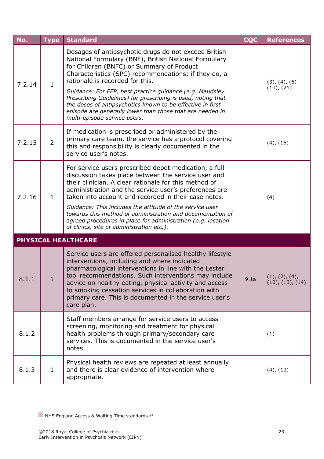<span id="page-22-0"></span>

| No.    | <b>Type</b>    | <b>Standard</b>                                                                                                                                                                                                                                                                                                                                                                                                                                                                                                               | <b>CQC</b> | <b>References</b>                  |
|--------|----------------|-------------------------------------------------------------------------------------------------------------------------------------------------------------------------------------------------------------------------------------------------------------------------------------------------------------------------------------------------------------------------------------------------------------------------------------------------------------------------------------------------------------------------------|------------|------------------------------------|
| 7.2.14 | $\mathbf{1}$   | Dosages of antipsychotic drugs do not exceed British<br>National Formulary (BNF), British National Formulary<br>for Children (BNFC) or Summary of Product<br>Characteristics (SPC) recommendations; if they do, a<br>rationale is recorded for this.                                                                                                                                                                                                                                                                          |            | (3), (4), (6)<br>(10), (21)        |
|        |                | Guidance: For FEP, best practice guidance (e.g. Maudsley<br>Prescribing Guidelines) for prescribing is used, noting that<br>the doses of antipsychotics known to be effective in first<br>episode are generally lower than those that are needed in<br>multi-episode service users.                                                                                                                                                                                                                                           |            |                                    |
| 7.2.15 | $\overline{2}$ | If medication is prescribed or administered by the<br>primary care team, the service has a protocol covering<br>this and responsibility is clearly documented in the<br>service user's notes.                                                                                                                                                                                                                                                                                                                                 |            | $(4)$ , $(15)$                     |
| 7.2.16 | $\mathbf{1}$   | For service users prescribed depot medication, a full<br>discussion takes place between the service user and<br>their clinician. A clear rationale for this method of<br>administration and the service user's preferences are<br>taken into account and recorded in their case notes.<br>Guidance: This includes the attitude of the service user<br>towards this method of administration and documentation of<br>agreed procedures in place for administration (e.g. location<br>of clinics, site of administration etc.). |            | (4)                                |
|        |                | <b>PHYSICAL HEALTHCARE</b>                                                                                                                                                                                                                                                                                                                                                                                                                                                                                                    |            |                                    |
| 8.1.1  | T              | Service users are offered personalised healthy lifestyle<br>interventions, including and where indicated<br>pharmacological interventions in line with the Lester<br>tool recommendations. Such interventions may include<br>advice on healthy eating, physical activity and access<br>to smoking cessation services in collaboration with<br>primary care. This is documented in the service user's<br>care plan.                                                                                                            | 9.1a       | (1), (2), (4),<br>(10), (13), (14) |
| 8.1.2  |                | Staff members arrange for service users to access<br>screening, monitoring and treatment for physical<br>health problems through primary/secondary care<br>services. This is documented in the service user's<br>notes.                                                                                                                                                                                                                                                                                                       |            | (1)                                |
| 8.1.3  | $\mathbf{1}$   | Physical health reviews are repeated at least annually<br>and there is clear evidence of intervention where<br>appropriate.                                                                                                                                                                                                                                                                                                                                                                                                   |            | (4), (13)                          |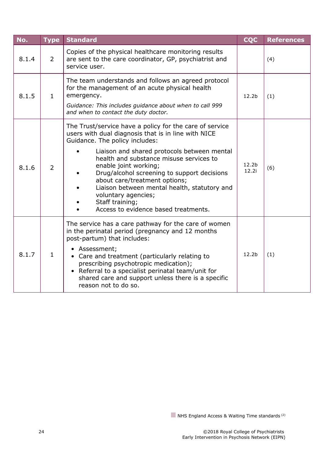| No.   | <b>Type</b>    | <b>Standard</b>                                                                                                                                                                                                                                                                                                                                                                                                                                                                       | <b>CQC</b>        | <b>References</b> |
|-------|----------------|---------------------------------------------------------------------------------------------------------------------------------------------------------------------------------------------------------------------------------------------------------------------------------------------------------------------------------------------------------------------------------------------------------------------------------------------------------------------------------------|-------------------|-------------------|
| 8.1.4 | $\overline{2}$ | Copies of the physical healthcare monitoring results<br>are sent to the care coordinator, GP, psychiatrist and<br>service user.                                                                                                                                                                                                                                                                                                                                                       |                   | (4)               |
| 8.1.5 | $\mathbf{1}$   | The team understands and follows an agreed protocol<br>for the management of an acute physical health<br>emergency.<br>Guidance: This includes guidance about when to call 999<br>and when to contact the duty doctor.                                                                                                                                                                                                                                                                | 12.2 <sub>b</sub> | (1)               |
| 8.1.6 | $\overline{2}$ | The Trust/service have a policy for the care of service<br>users with dual diagnosis that is in line with NICE<br>Guidance. The policy includes:<br>Liaison and shared protocols between mental<br>health and substance misuse services to<br>enable joint working;<br>Drug/alcohol screening to support decisions<br>about care/treatment options;<br>Liaison between mental health, statutory and<br>voluntary agencies;<br>Staff training;<br>Access to evidence based treatments. | 12.2b<br>12.2i    | (6)               |
| 8.1.7 | $\mathbf{1}$   | The service has a care pathway for the care of women<br>in the perinatal period (pregnancy and 12 months<br>post-partum) that includes:<br>• Assessment;<br>• Care and treatment (particularly relating to<br>prescribing psychotropic medication);<br>• Referral to a specialist perinatal team/unit for<br>shared care and support unless there is a specific<br>reason not to do so.                                                                                               | 12.2b             | (1)               |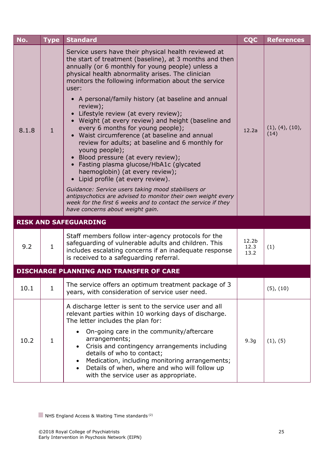<span id="page-24-0"></span>

| No.   | <b>Type</b>  | <b>Standard</b>                                                                                                                                                                                                                                                                                                                                                                                                                                                                                                                                                                                                                                                                                                                                                                                                                                                                                                                                                                                                           | <b>CQC</b>                        | <b>References</b>       |
|-------|--------------|---------------------------------------------------------------------------------------------------------------------------------------------------------------------------------------------------------------------------------------------------------------------------------------------------------------------------------------------------------------------------------------------------------------------------------------------------------------------------------------------------------------------------------------------------------------------------------------------------------------------------------------------------------------------------------------------------------------------------------------------------------------------------------------------------------------------------------------------------------------------------------------------------------------------------------------------------------------------------------------------------------------------------|-----------------------------------|-------------------------|
| 8.1.8 | $\mathbf{1}$ | Service users have their physical health reviewed at<br>the start of treatment (baseline), at 3 months and then<br>annually (or 6 monthly for young people) unless a<br>physical health abnormality arises. The clinician<br>monitors the following information about the service<br>user:<br>• A personal/family history (at baseline and annual<br>review);<br>Lifestyle review (at every review);<br>$\bullet$<br>• Weight (at every review) and height (baseline and<br>every 6 months for young people);<br>• Waist circumference (at baseline and annual<br>review for adults; at baseline and 6 monthly for<br>young people);<br>• Blood pressure (at every review);<br>• Fasting plasma glucose/HbA1c (glycated<br>haemoglobin) (at every review);<br>Lipid profile (at every review).<br>Guidance: Service users taking mood stabilisers or<br>antipsychotics are advised to monitor their own weight every<br>week for the first 6 weeks and to contact the service if they<br>have concerns about weight gain. | 12.2a                             | (1), (4), (10),<br>(14) |
|       |              | <b>RISK AND SAFEGUARDING</b>                                                                                                                                                                                                                                                                                                                                                                                                                                                                                                                                                                                                                                                                                                                                                                                                                                                                                                                                                                                              |                                   |                         |
| 9.2   | $\mathbf{1}$ | Staff members follow inter-agency protocols for the<br>safeguarding of vulnerable adults and children. This<br>includes escalating concerns if an inadequate response<br>is received to a safeguarding referral.                                                                                                                                                                                                                                                                                                                                                                                                                                                                                                                                                                                                                                                                                                                                                                                                          | 12.2 <sub>b</sub><br>12.3<br>13.2 | (1)                     |
|       |              | <b>DISCHARGE PLANNING AND TRANSFER OF CARE</b>                                                                                                                                                                                                                                                                                                                                                                                                                                                                                                                                                                                                                                                                                                                                                                                                                                                                                                                                                                            |                                   |                         |
| 10.1  | $\mathbf{1}$ | The service offers an optimum treatment package of 3<br>years, with consideration of service user need.                                                                                                                                                                                                                                                                                                                                                                                                                                                                                                                                                                                                                                                                                                                                                                                                                                                                                                                   |                                   | $(5)$ , $(10)$          |
| 10.2  | $\mathbf{1}$ | A discharge letter is sent to the service user and all<br>relevant parties within 10 working days of discharge.<br>The letter includes the plan for:<br>On-going care in the community/aftercare<br>arrangements;<br>Crisis and contingency arrangements including<br>details of who to contact;<br>Medication, including monitoring arrangements;<br>Details of when, where and who will follow up<br>with the service user as appropriate.                                                                                                                                                                                                                                                                                                                                                                                                                                                                                                                                                                              | 9.3 <sub>g</sub>                  | (1), (5)                |

<span id="page-24-1"></span>NHS England Access & Waiting Time standards<sup>(2)</sup>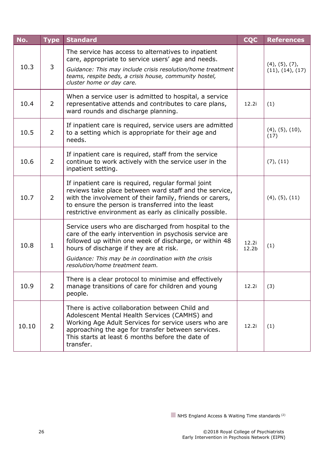| No.   | <b>Type</b>    | <b>Standard</b>                                                                                                                                                                                                                                                                                                   | <b>CQC</b>                 | <b>References</b>                           |
|-------|----------------|-------------------------------------------------------------------------------------------------------------------------------------------------------------------------------------------------------------------------------------------------------------------------------------------------------------------|----------------------------|---------------------------------------------|
| 10.3  | 3              | The service has access to alternatives to inpatient<br>care, appropriate to service users' age and needs.<br>Guidance: This may include crisis resolution/home treatment<br>teams, respite beds, a crisis house, community hostel,<br>cluster home or day care.                                                   |                            | $(4)$ , $(5)$ , $(7)$ ,<br>(11), (14), (17) |
| 10.4  | $\overline{2}$ | When a service user is admitted to hospital, a service<br>representative attends and contributes to care plans,<br>ward rounds and discharge planning.                                                                                                                                                            | 12.2i                      | (1)                                         |
| 10.5  | $\overline{2}$ | If inpatient care is required, service users are admitted<br>to a setting which is appropriate for their age and<br>needs.                                                                                                                                                                                        |                            | $(4)$ , $(5)$ , $(10)$ ,<br>(17)            |
| 10.6  | $\overline{2}$ | If inpatient care is required, staff from the service<br>continue to work actively with the service user in the<br>inpatient setting.                                                                                                                                                                             |                            | (7), (11)                                   |
| 10.7  | $\overline{2}$ | If inpatient care is required, regular formal joint<br>reviews take place between ward staff and the service,<br>with the involvement of their family, friends or carers,<br>to ensure the person is transferred into the least<br>restrictive environment as early as clinically possible.                       |                            | $(4)$ , $(5)$ , $(11)$                      |
| 10.8  | $\mathbf{1}$   | Service users who are discharged from hospital to the<br>care of the early intervention in psychosis service are<br>followed up within one week of discharge, or within 48<br>hours of discharge if they are at risk.<br>Guidance: This may be in coordination with the crisis<br>resolution/home treatment team. | 12.2i<br>12.2 <sub>b</sub> | (1)                                         |
| 10.9  | $\overline{2}$ | There is a clear protocol to minimise and effectively<br>manage transitions of care for children and young<br>people.                                                                                                                                                                                             | 12.2i                      | (3)                                         |
| 10.10 | $\overline{2}$ | There is active collaboration between Child and<br>Adolescent Mental Health Services (CAMHS) and<br>Working Age Adult Services for service users who are<br>approaching the age for transfer between services.<br>This starts at least 6 months before the date of<br>transfer.                                   | 12.2i                      | (1)                                         |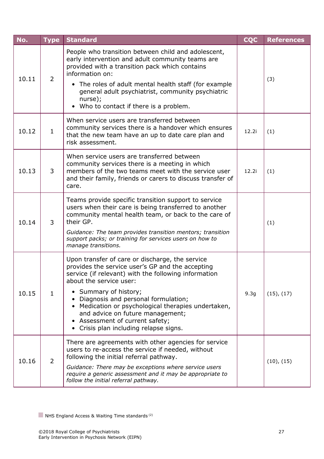| No.   | <b>Type</b>    | <b>Standard</b>                                                                                                                                                                                                                                  | <b>CQC</b> | <b>References</b> |
|-------|----------------|--------------------------------------------------------------------------------------------------------------------------------------------------------------------------------------------------------------------------------------------------|------------|-------------------|
| 10.11 | $\overline{2}$ | People who transition between child and adolescent,<br>early intervention and adult community teams are<br>provided with a transition pack which contains<br>information on:                                                                     |            | (3)               |
|       |                | • The roles of adult mental health staff (for example<br>general adult psychiatrist, community psychiatric<br>nurse);<br>Who to contact if there is a problem.<br>$\bullet$                                                                      |            |                   |
| 10.12 | $\mathbf{1}$   | When service users are transferred between<br>community services there is a handover which ensures<br>that the new team have an up to date care plan and<br>risk assessment.                                                                     | 12.2i      | (1)               |
| 10.13 | 3              | When service users are transferred between<br>community services there is a meeting in which<br>members of the two teams meet with the service user<br>and their family, friends or carers to discuss transfer of<br>care.                       | 12.2i      | (1)               |
| 10.14 | 3              | Teams provide specific transition support to service<br>users when their care is being transferred to another<br>community mental health team, or back to the care of<br>their GP.<br>Guidance: The team provides transition mentors; transition |            | (1)               |
|       |                | support packs; or training for services users on how to<br>manage transitions.                                                                                                                                                                   |            |                   |
|       |                | Upon transfer of care or discharge, the service<br>provides the service user's GP and the accepting<br>service (if relevant) with the following information<br>about the service user:                                                           |            |                   |
| 10.15 | $\mathbf{1}$   | • Summary of history;<br>Diagnosis and personal formulation;<br>• Medication or psychological therapies undertaken,<br>and advice on future management;<br>• Assessment of current safety;<br>• Crisis plan including relapse signs.             | 9.3g       | $(15)$ , $(17)$   |
| 10.16 | $\overline{2}$ | There are agreements with other agencies for service<br>users to re-access the service if needed, without<br>following the initial referral pathway.                                                                                             |            | (10), (15)        |
|       |                | Guidance: There may be exceptions where service users<br>require a generic assessment and it may be appropriate to<br>follow the initial referral pathway.                                                                                       |            |                   |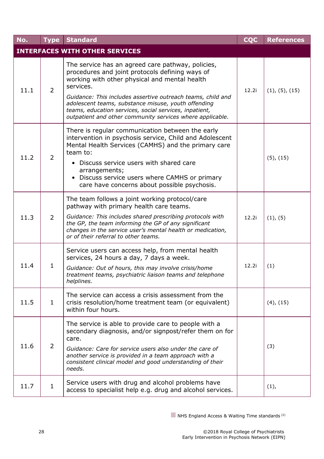<span id="page-27-0"></span>

| No.  | <b>Type</b>    | <b>Standard</b>                                                                                                                                                                                                                                                                                                                                                                                                 | <b>CQC</b> | <b>References</b> |
|------|----------------|-----------------------------------------------------------------------------------------------------------------------------------------------------------------------------------------------------------------------------------------------------------------------------------------------------------------------------------------------------------------------------------------------------------------|------------|-------------------|
|      |                | <b>INTERFACES WITH OTHER SERVICES</b>                                                                                                                                                                                                                                                                                                                                                                           |            |                   |
| 11.1 | $\overline{2}$ | The service has an agreed care pathway, policies,<br>procedures and joint protocols defining ways of<br>working with other physical and mental health<br>services.<br>Guidance: This includes assertive outreach teams, child and<br>adolescent teams, substance misuse, youth offending<br>teams, education services, social services, inpatient,<br>outpatient and other community services where applicable. | 12.2i      | (1), (5), (15)    |
| 11.2 | 2              | There is regular communication between the early<br>intervention in psychosis service, Child and Adolescent<br>Mental Health Services (CAMHS) and the primary care<br>team to:<br>• Discuss service users with shared care<br>arrangements;<br>• Discuss service users where CAMHS or primary<br>care have concerns about possible psychosis.                                                                   |            | $(5)$ , $(15)$    |
| 11.3 | 2              | The team follows a joint working protocol/care<br>pathway with primary health care teams.<br>Guidance: This includes shared prescribing protocols with<br>the GP, the team informing the GP of any significant<br>changes in the service user's mental health or medication,<br>or of their referral to other teams.                                                                                            | 12.2i      | (1), (5)          |
| 11.4 | $\mathbf{1}$   | Service users can access help, from mental health<br>services, 24 hours a day, 7 days a week.<br>Guidance: Out of hours, this may involve crisis/home<br>treatment teams, psychiatric liaison teams and telephone<br>helplines.                                                                                                                                                                                 | 12.2i      | (1)               |
| 11.5 | $\mathbf{1}$   | The service can access a crisis assessment from the<br>crisis resolution/home treatment team (or equivalent)<br>within four hours.                                                                                                                                                                                                                                                                              |            | $(4)$ , $(15)$    |
| 11.6 | $\overline{2}$ | The service is able to provide care to people with a<br>secondary diagnosis, and/or signpost/refer them on for<br>care.<br>Guidance: Care for service users also under the care of<br>another service is provided in a team approach with a<br>consistent clinical model and good understanding of their<br>needs.                                                                                              |            | (3)               |
| 11.7 | $\mathbf{1}$   | Service users with drug and alcohol problems have<br>access to specialist help e.g. drug and alcohol services.                                                                                                                                                                                                                                                                                                  |            | (1),              |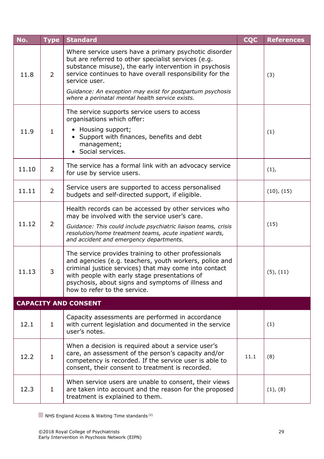<span id="page-28-0"></span>

| No.   | <b>Type</b>    | <b>Standard</b>                                                                                                                                                                                                                                                                                                  | <b>CQC</b> | <b>References</b> |
|-------|----------------|------------------------------------------------------------------------------------------------------------------------------------------------------------------------------------------------------------------------------------------------------------------------------------------------------------------|------------|-------------------|
| 11.8  | $\overline{2}$ | Where service users have a primary psychotic disorder<br>but are referred to other specialist services (e.g.<br>substance misuse), the early intervention in psychosis<br>service continues to have overall responsibility for the<br>service user.<br>Guidance: An exception may exist for postpartum psychosis |            | (3)               |
|       |                | where a perinatal mental health service exists.                                                                                                                                                                                                                                                                  |            |                   |
| 11.9  | $\mathbf{1}$   | The service supports service users to access<br>organisations which offer:<br>• Housing support;<br>• Support with finances, benefits and debt<br>management;<br>• Social services.                                                                                                                              |            | (1)               |
| 11.10 | $\overline{2}$ | The service has a formal link with an advocacy service<br>for use by service users.                                                                                                                                                                                                                              |            | (1),              |
| 11.11 | $\overline{2}$ | Service users are supported to access personalised<br>budgets and self-directed support, if eligible.                                                                                                                                                                                                            |            | (10), (15)        |
| 11.12 | $\overline{2}$ | Health records can be accessed by other services who<br>may be involved with the service user's care.<br>Guidance: This could include psychiatric liaison teams, crisis<br>resolution/home treatment teams, acute inpatient wards,<br>and accident and emergency departments.                                    |            | (15)              |
| 11.13 | 3              | The service provides training to other professionals<br>and agencies (e.g. teachers, youth workers, police and<br>criminal justice services) that may come into contact<br>with people with early stage presentations of<br>psychosis, about signs and symptoms of illness and<br>how to refer to the service.   |            | $(5)$ , $(11)$    |
|       |                | <b>CAPACITY AND CONSENT</b>                                                                                                                                                                                                                                                                                      |            |                   |
| 12.1  | $\mathbf{1}$   | Capacity assessments are performed in accordance<br>with current legislation and documented in the service<br>user's notes.                                                                                                                                                                                      |            | (1)               |
| 12.2  | $\mathbf{1}$   | When a decision is required about a service user's<br>care, an assessment of the person's capacity and/or<br>competency is recorded. If the service user is able to<br>consent, their consent to treatment is recorded.                                                                                          | 11.1       | (8)               |
| 12.3  | $\mathbf{1}$   | When service users are unable to consent, their views<br>are taken into account and the reason for the proposed<br>treatment is explained to them.                                                                                                                                                               |            | (1), (8)          |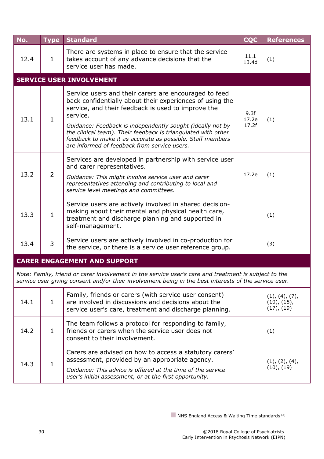<span id="page-29-0"></span>

| No.  | <b>Type</b>                         | <b>Standard</b>                                                                                                                                                                                                                                                                                                                                                                                                                  | <b>CQC</b>             | <b>References</b> |  |  |  |
|------|-------------------------------------|----------------------------------------------------------------------------------------------------------------------------------------------------------------------------------------------------------------------------------------------------------------------------------------------------------------------------------------------------------------------------------------------------------------------------------|------------------------|-------------------|--|--|--|
| 12.4 | $\mathbf{1}$                        | There are systems in place to ensure that the service<br>takes account of any advance decisions that the<br>service user has made.                                                                                                                                                                                                                                                                                               | 11.1<br>13.4d          | (1)               |  |  |  |
|      |                                     | <b>SERVICE USER INVOLVEMENT</b>                                                                                                                                                                                                                                                                                                                                                                                                  |                        |                   |  |  |  |
| 13.1 | $\mathbf{1}$                        | Service users and their carers are encouraged to feed<br>back confidentially about their experiences of using the<br>service, and their feedback is used to improve the<br>service.<br>Guidance: Feedback is independently sought (ideally not by<br>the clinical team). Their feedback is triangulated with other<br>feedback to make it as accurate as possible. Staff members<br>are informed of feedback from service users. | 9.3f<br>17.2e<br>17.2f | (1)               |  |  |  |
| 13.2 | $\overline{2}$                      | Services are developed in partnership with service user<br>and carer representatives.<br>Guidance: This might involve service user and carer<br>representatives attending and contributing to local and<br>service level meetings and committees.                                                                                                                                                                                | 17.2e                  | (1)               |  |  |  |
| 13.3 | $\mathbf{1}$                        | Service users are actively involved in shared decision-<br>making about their mental and physical health care,<br>treatment and discharge planning and supported in<br>self-management.                                                                                                                                                                                                                                          |                        | (1)               |  |  |  |
| 13.4 | 3                                   | Service users are actively involved in co-production for<br>the service, or there is a service user reference group.                                                                                                                                                                                                                                                                                                             |                        | (3)               |  |  |  |
|      | <b>CARER ENGAGEMENT AND SUPPORT</b> |                                                                                                                                                                                                                                                                                                                                                                                                                                  |                        |                   |  |  |  |
|      |                                     | Note: Family, friend or carer involvement in the service user's care and treatment is subject to the<br>service user giving consent and/or their involvement being in the best interests of the service user.                                                                                                                                                                                                                    |                        |                   |  |  |  |

<span id="page-29-1"></span>

| 14.1 |  | Family, friends or carers (with service user consent)<br>are involved in discussions and decisions about the<br>service user's care, treatment and discharge planning. | (1), (4), (7),<br>(10), (15),<br>(17), (19) |
|------|--|------------------------------------------------------------------------------------------------------------------------------------------------------------------------|---------------------------------------------|
| 14.2 |  | The team follows a protocol for responding to family,<br>friends or carers when the service user does not<br>consent to their involvement.                             | (1)                                         |
| 14.3 |  | Carers are advised on how to access a statutory carers'<br>assessment, provided by an appropriate agency.                                                              | (1), (2), (4),                              |
|      |  | Guidance: This advice is offered at the time of the service<br>user's initial assessment, or at the first opportunity.                                                 | (10), (19)                                  |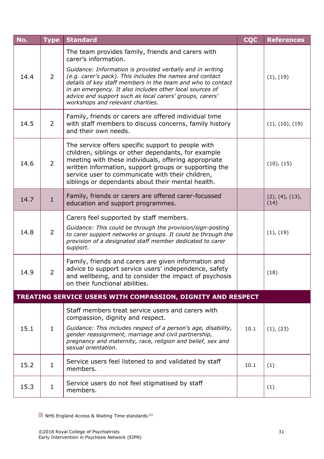| No.  | <b>Type</b>    | <b>Standard</b>                                                                                                                                                                                                                                                                                                                                                                                                                | <b>CQC</b> | <b>References</b>       |
|------|----------------|--------------------------------------------------------------------------------------------------------------------------------------------------------------------------------------------------------------------------------------------------------------------------------------------------------------------------------------------------------------------------------------------------------------------------------|------------|-------------------------|
| 14.4 | $\overline{2}$ | The team provides family, friends and carers with<br>carer's information.<br>Guidance: Information is provided verbally and in writing<br>(e.g. carer's pack). This includes the names and contact<br>details of key staff members in the team and who to contact<br>in an emergency. It also includes other local sources of<br>advice and support such as local carers' groups, carers'<br>workshops and relevant charities. |            | (1), (19)               |
| 14.5 | $\overline{2}$ | Family, friends or carers are offered individual time<br>with staff members to discuss concerns, family history<br>and their own needs.                                                                                                                                                                                                                                                                                        |            | (1), (10), (19)         |
| 14.6 | $\overline{2}$ | The service offers specific support to people with<br>children, siblings or other dependants, for example<br>meeting with these individuals, offering appropriate<br>written information, support groups or supporting the<br>service user to communicate with their children,<br>siblings or dependants about their mental health.                                                                                            |            | (10), (15)              |
| 14.7 | $\mathbf{1}$   | Family, friends or carers are offered carer-focussed<br>education and support programmes.                                                                                                                                                                                                                                                                                                                                      |            | (2), (4), (13),<br>(14) |
| 14.8 | $\overline{2}$ | Carers feel supported by staff members.<br>Guidance: This could be through the provision/sign-posting<br>to carer support networks or groups. It could be through the<br>provision of a designated staff member dedicated to carer<br>support.                                                                                                                                                                                 |            | (1), (19)               |
| 14.9 | $\overline{2}$ | Family, friends and carers are given information and<br>advice to support service users' independence, safety<br>and wellbeing, and to consider the impact of psychosis<br>on their functional abilities.                                                                                                                                                                                                                      |            | (18)                    |
|      |                | TREATING SERVICE USERS WITH COMPASSION, DIGNITY AND RESPECT                                                                                                                                                                                                                                                                                                                                                                    |            |                         |
| 15.1 | $\mathbf{1}$   | Staff members treat service users and carers with<br>compassion, dignity and respect.<br>Guidance: This includes respect of a person's age, disability,<br>gender reassignment, marriage and civil partnership,<br>pregnancy and maternity, race, religion and belief, sex and<br>sexual orientation.                                                                                                                          | 10.1       | (1), (23)               |
| 15.2 | $\mathbf{1}$   | Service users feel listened to and validated by staff<br>members.                                                                                                                                                                                                                                                                                                                                                              | 10.1       | (1)                     |
| 15.3 | $\mathbf{1}$   | Service users do not feel stigmatised by staff<br>members.                                                                                                                                                                                                                                                                                                                                                                     |            | (1)                     |

<span id="page-30-0"></span> $\blacksquare$  NHS England Access & Waiting Time standards<sup>(2)</sup>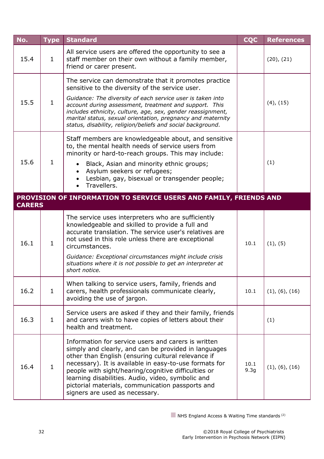<span id="page-31-0"></span>

| No.           | <b>Type</b>  | <b>Standard</b>                                                                                                                                                                                                                                                                                                                                                                                                               | <b>CQC</b>               | <b>References</b>                                          |
|---------------|--------------|-------------------------------------------------------------------------------------------------------------------------------------------------------------------------------------------------------------------------------------------------------------------------------------------------------------------------------------------------------------------------------------------------------------------------------|--------------------------|------------------------------------------------------------|
| 15.4          | $\mathbf{1}$ | All service users are offered the opportunity to see a<br>staff member on their own without a family member,<br>friend or carer present.                                                                                                                                                                                                                                                                                      |                          | (20), (21)                                                 |
|               |              | The service can demonstrate that it promotes practice<br>sensitive to the diversity of the service user.                                                                                                                                                                                                                                                                                                                      |                          |                                                            |
| 15.5          | $\mathbf{1}$ | Guidance: The diversity of each service user is taken into<br>account during assessment, treatment and support. This<br>includes ethnicity, culture, age, sex, gender reassignment,<br>marital status, sexual orientation, pregnancy and maternity<br>status, disability, religion/beliefs and social background.                                                                                                             |                          | $(4)$ , $(15)$                                             |
|               |              | Staff members are knowledgeable about, and sensitive<br>to, the mental health needs of service users from<br>minority or hard-to-reach groups. This may include:                                                                                                                                                                                                                                                              |                          | (1)<br>(1), (5)<br>(1), (6), (16)<br>(1)<br>(1), (6), (16) |
| 15.6          | $\mathbf{1}$ | Black, Asian and minority ethnic groups;<br>Asylum seekers or refugees;<br>$\bullet$<br>Lesbian, gay, bisexual or transgender people;<br>Travellers.                                                                                                                                                                                                                                                                          |                          |                                                            |
| <b>CARERS</b> |              | PROVISION OF INFORMATION TO SERVICE USERS AND FAMILY, FRIENDS AND                                                                                                                                                                                                                                                                                                                                                             |                          |                                                            |
|               |              | The service uses interpreters who are sufficiently                                                                                                                                                                                                                                                                                                                                                                            |                          |                                                            |
| 16.1          | $\mathbf{1}$ | knowledgeable and skilled to provide a full and<br>accurate translation. The service user's relatives are<br>not used in this role unless there are exceptional<br>circumstances.                                                                                                                                                                                                                                             | 10.1                     |                                                            |
|               |              | Guidance: Exceptional circumstances might include crisis<br>situations where it is not possible to get an interpreter at<br>short notice.                                                                                                                                                                                                                                                                                     |                          |                                                            |
| 16.2          | $\mathbf{1}$ | When talking to service users, family, friends and<br>carers, health professionals communicate clearly,<br>avoiding the use of jargon.                                                                                                                                                                                                                                                                                        | 10.1                     |                                                            |
| 16.3          | $\mathbf{1}$ | Service users are asked if they and their family, friends<br>and carers wish to have copies of letters about their<br>health and treatment.                                                                                                                                                                                                                                                                                   |                          |                                                            |
| 16.4          | $\mathbf{1}$ | Information for service users and carers is written<br>simply and clearly, and can be provided in languages<br>other than English (ensuring cultural relevance if<br>necessary). It is available in easy-to-use formats for<br>people with sight/hearing/cognitive difficulties or<br>learning disabilities. Audio, video, symbolic and<br>pictorial materials, communication passports and<br>signers are used as necessary. | 10.1<br>9.3 <sub>g</sub> |                                                            |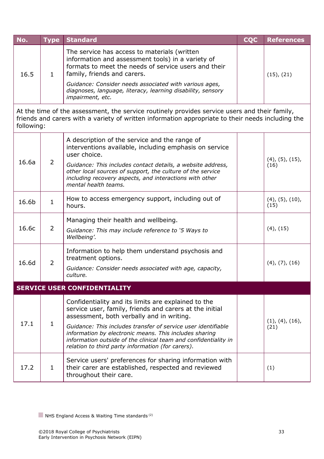| No.  | <b>Type Standard</b>                                                                                                                                                                     | <b>COC</b> | <b>References</b> |
|------|------------------------------------------------------------------------------------------------------------------------------------------------------------------------------------------|------------|-------------------|
| 16.5 | The service has access to materials (written<br>information and assessment tools) in a variety of<br>formats to meet the needs of service users and their<br>family, friends and carers. |            | $(15)$ , $(21)$   |
|      | Guidance: Consider needs associated with various ages,<br>diagnoses, language, literacy, learning disability, sensory<br><i>impairment</i> , etc.                                        |            |                   |

At the time of the assessment, the service routinely provides service users and their family, friends and carers with a variety of written information appropriate to their needs including the following:

| 16.6a | $\overline{2}$ | A description of the service and the range of<br>interventions available, including emphasis on service<br>user choice.<br>Guidance: This includes contact details, a website address,<br>other local sources of support, the culture of the service<br>including recovery aspects, and interactions with other<br>mental health teams.                                                                        | $(4)$ , $(5)$ , $(15)$ ,<br>(16) |
|-------|----------------|----------------------------------------------------------------------------------------------------------------------------------------------------------------------------------------------------------------------------------------------------------------------------------------------------------------------------------------------------------------------------------------------------------------|----------------------------------|
| 16.6b | $\mathbf{1}$   | How to access emergency support, including out of<br>hours.                                                                                                                                                                                                                                                                                                                                                    | $(4)$ , $(5)$ , $(10)$ ,<br>(15) |
| 16.6c | 2              | Managing their health and wellbeing.<br>Guidance: This may include reference to '5 Ways to<br>Wellbeing'.                                                                                                                                                                                                                                                                                                      | $(4)$ , $(15)$                   |
| 16.6d | $\overline{2}$ | Information to help them understand psychosis and<br>treatment options.<br>Guidance: Consider needs associated with age, capacity,<br>culture.                                                                                                                                                                                                                                                                 | $(4)$ , $(7)$ , $(16)$           |
|       |                | <b>SERVICE USER CONFIDENTIALITY</b>                                                                                                                                                                                                                                                                                                                                                                            |                                  |
| 17.1  | $\mathbf{1}$   | Confidentiality and its limits are explained to the<br>service user, family, friends and carers at the initial<br>assessment, both verbally and in writing.<br>Guidance: This includes transfer of service user identifiable<br>information by electronic means. This includes sharing<br>information outside of the clinical team and confidentiality in<br>relation to third party information (for carers). | (1), (4), (16),<br>(21)          |
| 17.2  | $\mathbf{1}$   | Service users' preferences for sharing information with<br>their carer are established, respected and reviewed<br>throughout their care.                                                                                                                                                                                                                                                                       | (1)                              |

<span id="page-32-0"></span>NHS England Access & Waiting Time standards<sup>(2)</sup>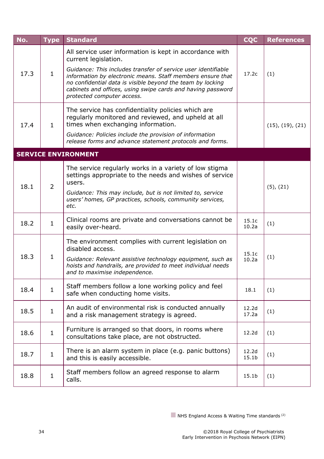<span id="page-33-0"></span>

| No.  | <b>Type</b>    | <b>Standard</b>                                                                                                                                                                                                                                                                                                                                                           | <b>CQC</b>                 | <b>References</b>        |
|------|----------------|---------------------------------------------------------------------------------------------------------------------------------------------------------------------------------------------------------------------------------------------------------------------------------------------------------------------------------------------------------------------------|----------------------------|--------------------------|
| 17.3 | $\mathbf{1}$   | All service user information is kept in accordance with<br>current legislation.<br>Guidance: This includes transfer of service user identifiable<br>information by electronic means. Staff members ensure that<br>no confidential data is visible beyond the team by locking<br>cabinets and offices, using swipe cards and having password<br>protected computer access. | 17.2c                      | (1)                      |
| 17.4 | $\mathbf{1}$   | The service has confidentiality policies which are<br>regularly monitored and reviewed, and upheld at all<br>times when exchanging information.<br>Guidance: Policies include the provision of information<br>release forms and advance statement protocols and forms.                                                                                                    |                            | $(15)$ , $(19)$ , $(21)$ |
|      |                | <b>SERVICE ENVIRONMENT</b>                                                                                                                                                                                                                                                                                                                                                |                            |                          |
| 18.1 | $\overline{2}$ | The service regularly works in a variety of low stigma<br>settings appropriate to the needs and wishes of service<br>users.<br>Guidance: This may include, but is not limited to, service<br>users' homes, GP practices, schools, community services,<br>etc.                                                                                                             |                            | $(5)$ , $(21)$           |
| 18.2 | $\mathbf{1}$   | Clinical rooms are private and conversations cannot be<br>easily over-heard.                                                                                                                                                                                                                                                                                              | 15.1c<br>10.2a             | (1)                      |
| 18.3 | $\mathbf{1}$   | The environment complies with current legislation on<br>disabled access.<br>Guidance: Relevant assistive technology equipment, such as<br>hoists and handrails, are provided to meet individual needs<br>and to maximise independence.                                                                                                                                    | 15.1c<br>10.2a             | (1)                      |
| 18.4 | $\mathbf{1}$   | Staff members follow a lone working policy and feel<br>safe when conducting home visits.                                                                                                                                                                                                                                                                                  | 18.1                       | (1)                      |
| 18.5 | $\mathbf{1}$   | An audit of environmental risk is conducted annually<br>and a risk management strategy is agreed.                                                                                                                                                                                                                                                                         | 12.2d<br>17.2a             | (1)                      |
| 18.6 | $\mathbf{1}$   | Furniture is arranged so that doors, in rooms where<br>consultations take place, are not obstructed.                                                                                                                                                                                                                                                                      | 12.2d                      | (1)                      |
| 18.7 | $\mathbf{1}$   | There is an alarm system in place (e.g. panic buttons)<br>and this is easily accessible.                                                                                                                                                                                                                                                                                  | 12.2d<br>15.1 <sub>b</sub> | (1)                      |
| 18.8 | $\mathbf{1}$   | Staff members follow an agreed response to alarm<br>calls.                                                                                                                                                                                                                                                                                                                | 15.1 <sub>b</sub>          | (1)                      |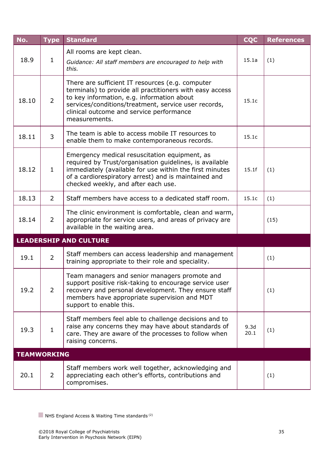<span id="page-34-1"></span><span id="page-34-0"></span>

| No.                | <b>Type</b>    | <b>Standard</b>                                                                                                                                                                                                                                                                 | <b>CQC</b>   | <b>References</b> |
|--------------------|----------------|---------------------------------------------------------------------------------------------------------------------------------------------------------------------------------------------------------------------------------------------------------------------------------|--------------|-------------------|
| 18.9               | $\mathbf{1}$   | All rooms are kept clean.<br>Guidance: All staff members are encouraged to help with<br>this.                                                                                                                                                                                   | 15.1a        | (1)               |
| 18.10              | $\overline{2}$ | There are sufficient IT resources (e.g. computer<br>terminals) to provide all practitioners with easy access<br>to key information, e.g. information about<br>services/conditions/treatment, service user records,<br>clinical outcome and service performance<br>measurements. | 15.1c        |                   |
| 18.11              | 3              | The team is able to access mobile IT resources to<br>enable them to make contemporaneous records.                                                                                                                                                                               | 15.1c        |                   |
| 18.12              | $\mathbf{1}$   | Emergency medical resuscitation equipment, as<br>required by Trust/organisation guidelines, is available<br>immediately (available for use within the first minutes<br>of a cardiorespiratory arrest) and is maintained and<br>checked weekly, and after each use.              | 15.1f        | (1)               |
| 18.13              | $\overline{2}$ | Staff members have access to a dedicated staff room.                                                                                                                                                                                                                            | 15.1c        | (1)               |
| 18.14              | $\overline{2}$ | The clinic environment is comfortable, clean and warm,<br>appropriate for service users, and areas of privacy are<br>available in the waiting area.                                                                                                                             |              | (15)              |
|                    |                | <b>LEADERSHIP AND CULTURE</b>                                                                                                                                                                                                                                                   |              |                   |
| 19.1               | $\overline{2}$ | Staff members can access leadership and management<br>training appropriate to their role and speciality.                                                                                                                                                                        |              | (1)               |
| 19.2               | $\overline{2}$ | Team managers and senior managers promote and<br>support positive risk-taking to encourage service user<br>recovery and personal development. They ensure staff<br>members have appropriate supervision and MDT<br>support to enable this.                                      |              | (1)               |
| 19.3               | $\mathbf{1}$   | Staff members feel able to challenge decisions and to<br>raise any concerns they may have about standards of<br>care. They are aware of the processes to follow when<br>raising concerns.                                                                                       | 9.3d<br>20.1 | (1)               |
| <b>TEAMWORKING</b> |                |                                                                                                                                                                                                                                                                                 |              |                   |
| 20.1               | $\overline{2}$ | Staff members work well together, acknowledging and<br>appreciating each other's efforts, contributions and<br>compromises.                                                                                                                                                     |              | (1)               |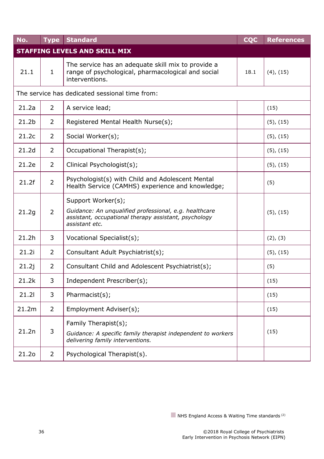<span id="page-35-0"></span>

| No.               | <b>Type</b>                                    | <b>Standard</b>                                                                                                                                         | <b>CQC</b> | <b>References</b> |  |  |  |
|-------------------|------------------------------------------------|---------------------------------------------------------------------------------------------------------------------------------------------------------|------------|-------------------|--|--|--|
|                   |                                                | <b>STAFFING LEVELS AND SKILL MIX</b>                                                                                                                    |            |                   |  |  |  |
| 21.1              | $\mathbf{1}$                                   | The service has an adequate skill mix to provide a<br>range of psychological, pharmacological and social<br>interventions.                              | 18.1       | $(4)$ , $(15)$    |  |  |  |
|                   | The service has dedicated sessional time from: |                                                                                                                                                         |            |                   |  |  |  |
| 21.2a             | $\overline{2}$                                 | A service lead;                                                                                                                                         |            | (15)              |  |  |  |
| 21.2 <sub>b</sub> | $\overline{2}$                                 | Registered Mental Health Nurse(s);                                                                                                                      |            | $(5)$ , $(15)$    |  |  |  |
| 21.2c             | $\overline{2}$                                 | Social Worker(s);                                                                                                                                       |            | $(5)$ , $(15)$    |  |  |  |
| 21.2d             | $\overline{2}$                                 | Occupational Therapist(s);                                                                                                                              |            | $(5)$ , $(15)$    |  |  |  |
| 21.2e             | $\overline{2}$                                 | Clinical Psychologist(s);                                                                                                                               |            | $(5)$ , $(15)$    |  |  |  |
| 21.2f             | $\overline{2}$                                 | Psychologist(s) with Child and Adolescent Mental<br>Health Service (CAMHS) experience and knowledge;                                                    |            | (5)               |  |  |  |
| 21.2g             | $\overline{2}$                                 | Support Worker(s);<br>Guidance: An unqualified professional, e.g. healthcare<br>assistant, occupational therapy assistant, psychology<br>assistant etc. |            | $(5)$ , $(15)$    |  |  |  |
| 21.2h             | 3                                              | Vocational Specialist(s);                                                                                                                               |            | (2), (3)          |  |  |  |
| 21.2i             | $\overline{2}$                                 | Consultant Adult Psychiatrist(s);                                                                                                                       |            | $(5)$ , $(15)$    |  |  |  |
| 21.2j             | $\overline{2}$                                 | Consultant Child and Adolescent Psychiatrist(s);                                                                                                        |            | (5)               |  |  |  |
| 21.2k             | 3                                              | Independent Prescriber(s);                                                                                                                              |            | (15)              |  |  |  |
| 21.21             | 3                                              | Pharmacist(s);                                                                                                                                          |            | (15)              |  |  |  |
| 21.2m             | $\overline{2}$                                 | Employment Adviser(s);                                                                                                                                  |            | (15)              |  |  |  |
| 21.2n             | 3                                              | Family Therapist(s);<br>Guidance: A specific family therapist independent to workers<br>delivering family interventions.                                |            | (15)              |  |  |  |
| 21.20             | $\overline{2}$                                 | Psychological Therapist(s).                                                                                                                             |            |                   |  |  |  |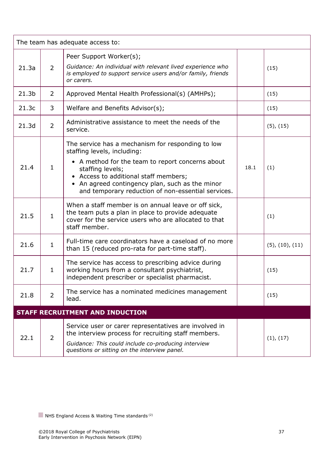<span id="page-36-0"></span>

| The team has adequate access to: |                |                                                                                                                                                                                                                                                                                                            |      |                         |  |
|----------------------------------|----------------|------------------------------------------------------------------------------------------------------------------------------------------------------------------------------------------------------------------------------------------------------------------------------------------------------------|------|-------------------------|--|
| 21.3a                            | $\overline{2}$ | Peer Support Worker(s);<br>Guidance: An individual with relevant lived experience who<br>is employed to support service users and/or family, friends<br>or carers.                                                                                                                                         |      | (15)                    |  |
| 21.3 <sub>b</sub>                | 2              | Approved Mental Health Professional(s) (AMHPs);                                                                                                                                                                                                                                                            |      | (15)                    |  |
| 21.3c                            | 3              | Welfare and Benefits Advisor(s);                                                                                                                                                                                                                                                                           |      | (15)                    |  |
| 21.3d                            | $\overline{2}$ | Administrative assistance to meet the needs of the<br>service.                                                                                                                                                                                                                                             |      | $(5)$ , $(15)$          |  |
| 21.4                             | $\mathbf{1}$   | The service has a mechanism for responding to low<br>staffing levels, including:<br>• A method for the team to report concerns about<br>staffing levels;<br>• Access to additional staff members;<br>• An agreed contingency plan, such as the minor<br>and temporary reduction of non-essential services. | 18.1 | (1)                     |  |
| 21.5                             | $\mathbf{1}$   | When a staff member is on annual leave or off sick,<br>the team puts a plan in place to provide adequate<br>cover for the service users who are allocated to that<br>staff member.                                                                                                                         |      | (1)                     |  |
| 21.6                             | $\mathbf{1}$   | Full-time care coordinators have a caseload of no more<br>than 15 (reduced pro-rata for part-time staff).                                                                                                                                                                                                  |      | $(5)$ , $(10)$ , $(11)$ |  |
| 21.7                             | $\mathbf{1}$   | The service has access to prescribing advice during<br>working hours from a consultant psychiatrist,<br>independent prescriber or specialist pharmacist.                                                                                                                                                   |      | (15)                    |  |
| 21.8                             | $\overline{2}$ | The service has a nominated medicines management<br>lead.                                                                                                                                                                                                                                                  |      | (15)                    |  |
|                                  |                | <b>STAFF RECRUITMENT AND INDUCTION</b>                                                                                                                                                                                                                                                                     |      |                         |  |
| 22.1                             | 2              | Service user or carer representatives are involved in<br>the interview process for recruiting staff members.<br>Guidance: This could include co-producing interview<br>questions or sitting on the interview panel.                                                                                        |      | (1), (17)               |  |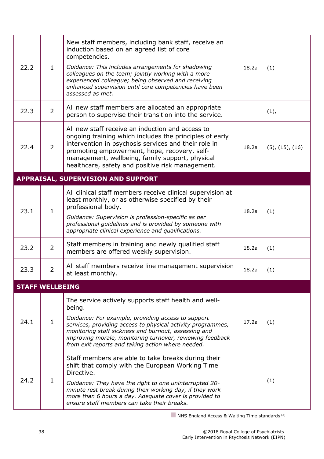<span id="page-37-1"></span><span id="page-37-0"></span>

| 22.2                   | $\mathbf{1}$   | New staff members, including bank staff, receive an<br>induction based on an agreed list of core<br>competencies.<br>Guidance: This includes arrangements for shadowing<br>colleagues on the team; jointly working with a more<br>experienced colleague; being observed and receiving<br>enhanced supervision until core competencies have been<br>assessed as met. | 18.2a | (1)                     |
|------------------------|----------------|---------------------------------------------------------------------------------------------------------------------------------------------------------------------------------------------------------------------------------------------------------------------------------------------------------------------------------------------------------------------|-------|-------------------------|
| 22.3                   | $\overline{2}$ | All new staff members are allocated an appropriate<br>person to supervise their transition into the service.                                                                                                                                                                                                                                                        |       | (1),                    |
| 22.4                   | $\overline{2}$ | All new staff receive an induction and access to<br>ongoing training which includes the principles of early<br>intervention in psychosis services and their role in<br>promoting empowerment, hope, recovery, self-<br>management, wellbeing, family support, physical<br>healthcare, safety and positive risk management.                                          | 18.2a | $(5)$ , $(15)$ , $(16)$ |
|                        |                | <b>APPRAISAL, SUPERVISION AND SUPPORT</b>                                                                                                                                                                                                                                                                                                                           |       |                         |
| 23.1                   | $\mathbf{1}$   | All clinical staff members receive clinical supervision at<br>least monthly, or as otherwise specified by their<br>professional body.<br>Guidance: Supervision is profession-specific as per<br>professional guidelines and is provided by someone with<br>appropriate clinical experience and qualifications.                                                      | 18.2a | (1)                     |
| 23.2                   | $\overline{2}$ | Staff members in training and newly qualified staff<br>members are offered weekly supervision.                                                                                                                                                                                                                                                                      | 18.2a | (1)                     |
| 23.3                   | $\overline{2}$ | All staff members receive line management supervision<br>at least monthly.                                                                                                                                                                                                                                                                                          | 18.2a | (1)                     |
| <b>STAFF WELLBEING</b> |                |                                                                                                                                                                                                                                                                                                                                                                     |       |                         |
| 24.1                   | $\mathbf{1}$   | The service actively supports staff health and well-<br>being.<br>Guidance: For example, providing access to support<br>services, providing access to physical activity programmes,<br>monitoring staff sickness and burnout, assessing and<br>improving morale, monitoring turnover, reviewing feedback<br>from exit reports and taking action where needed.       | 17.2a | (1)                     |
| 24.2                   | $\mathbf{1}$   | Staff members are able to take breaks during their<br>shift that comply with the European Working Time<br>Directive.<br>Guidance: They have the right to one uninterrupted 20-<br>minute rest break during their working day, if they work<br>more than 6 hours a day. Adequate cover is provided to<br>ensure staff members can take their breaks.                 |       | (1)                     |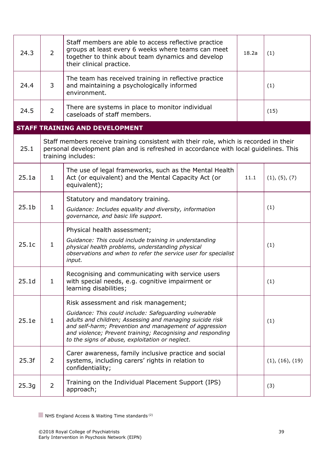<span id="page-38-0"></span>

| 24.3              | $\overline{2}$ | Staff members are able to access reflective practice<br>groups at least every 6 weeks where teams can meet<br>together to think about team dynamics and develop<br>their clinical practice.                                                                                                                                          | 18.2a | (1)             |
|-------------------|----------------|--------------------------------------------------------------------------------------------------------------------------------------------------------------------------------------------------------------------------------------------------------------------------------------------------------------------------------------|-------|-----------------|
| 24.4              | 3              | The team has received training in reflective practice<br>and maintaining a psychologically informed<br>environment.                                                                                                                                                                                                                  |       | (1)             |
| 24.5              | $\overline{2}$ | There are systems in place to monitor individual<br>caseloads of staff members.                                                                                                                                                                                                                                                      |       | (15)            |
|                   |                | <b>STAFF TRAINING AND DEVELOPMENT</b>                                                                                                                                                                                                                                                                                                |       |                 |
| 25.1              |                | Staff members receive training consistent with their role, which is recorded in their<br>personal development plan and is refreshed in accordance with local guidelines. This<br>training includes:                                                                                                                                  |       |                 |
| 25.1a             | $\mathbf{1}$   | The use of legal frameworks, such as the Mental Health<br>Act (or equivalent) and the Mental Capacity Act (or<br>equivalent);                                                                                                                                                                                                        | 11.1  | (1), (5), (7)   |
| 25.1 <sub>b</sub> | $\mathbf{1}$   | Statutory and mandatory training.<br>Guidance: Includes equality and diversity, information<br>governance, and basic life support.                                                                                                                                                                                                   |       | (1)             |
| 25.1c             | $\mathbf{1}$   | Physical health assessment;<br>Guidance: This could include training in understanding<br>physical health problems, understanding physical<br>observations and when to refer the service user for specialist<br>input.                                                                                                                |       | (1)             |
| 25.1 <sub>d</sub> | $\mathbf{1}$   | Recognising and communicating with service users<br>with special needs, e.g. cognitive impairment or<br>learning disabilities;                                                                                                                                                                                                       |       | (1)             |
| 25.1e             | $\mathbf{1}$   | Risk assessment and risk management;<br>Guidance: This could include: Safeguarding vulnerable<br>adults and children; Assessing and managing suicide risk<br>and self-harm; Prevention and management of aggression<br>and violence; Prevent training; Recognising and responding<br>to the signs of abuse, exploitation or neglect. |       | (1)             |
| 25.3f             | $\overline{2}$ | Carer awareness, family inclusive practice and social<br>systems, including carers' rights in relation to<br>confidentiality;                                                                                                                                                                                                        |       | (1), (16), (19) |
| 25.3g             | $\overline{2}$ | Training on the Individual Placement Support (IPS)<br>approach;                                                                                                                                                                                                                                                                      |       | (3)             |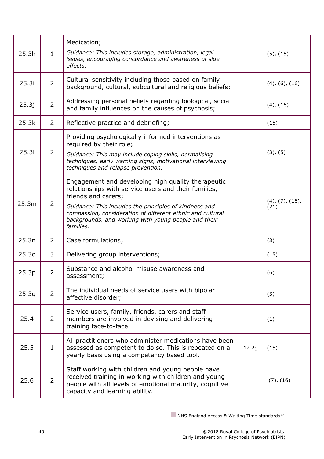| 25.3h             | $\mathbf{1}$   | Medication;<br>Guidance: This includes storage, administration, legal<br>issues, encouraging concordance and awareness of side<br>effects.                                                                                                                                                                                     |       | $(5)$ , $(15)$                   |
|-------------------|----------------|--------------------------------------------------------------------------------------------------------------------------------------------------------------------------------------------------------------------------------------------------------------------------------------------------------------------------------|-------|----------------------------------|
| 25.3i             | 2              | Cultural sensitivity including those based on family<br>background, cultural, subcultural and religious beliefs;                                                                                                                                                                                                               |       | $(4)$ , $(6)$ , $(16)$           |
| 25.3j             | $\overline{2}$ | Addressing personal beliefs regarding biological, social<br>and family influences on the causes of psychosis;                                                                                                                                                                                                                  |       | $(4)$ , $(16)$                   |
| 25.3k             | $\overline{2}$ | Reflective practice and debriefing;                                                                                                                                                                                                                                                                                            |       | (15)                             |
| 25.31             | 2              | Providing psychologically informed interventions as<br>required by their role;<br>Guidance: This may include coping skills, normalising<br>techniques, early warning signs, motivational interviewing<br>techniques and relapse prevention.                                                                                    |       | (3), (5)                         |
| 25.3m             | $\overline{2}$ | Engagement and developing high quality therapeutic<br>relationships with service users and their families,<br>friends and carers;<br>Guidance: This includes the principles of kindness and<br>compassion, consideration of different ethnic and cultural<br>backgrounds, and working with young people and their<br>families. |       | $(4)$ , $(7)$ , $(16)$ ,<br>(21) |
| 25.3n             | $\overline{2}$ | Case formulations;                                                                                                                                                                                                                                                                                                             |       | (3)                              |
| 25.3 <sub>o</sub> | 3              | Delivering group interventions;                                                                                                                                                                                                                                                                                                |       | (15)                             |
| 25.3p             | $\overline{2}$ | Substance and alcohol misuse awareness and<br>assessment;                                                                                                                                                                                                                                                                      |       | (6)                              |
| 25.3q             | $\overline{2}$ | The individual needs of service users with bipolar<br>affective disorder;                                                                                                                                                                                                                                                      |       | (3)                              |
| 25.4              | 2              | Service users, family, friends, carers and staff<br>members are involved in devising and delivering<br>training face-to-face.                                                                                                                                                                                                  |       | (1)                              |
| 25.5              | $\mathbf{1}$   | All practitioners who administer medications have been<br>assessed as competent to do so. This is repeated on a<br>yearly basis using a competency based tool.                                                                                                                                                                 | 12.2g | (15)                             |
| 25.6              | 2              | Staff working with children and young people have<br>received training in working with children and young<br>people with all levels of emotional maturity, cognitive<br>capacity and learning ability.                                                                                                                         |       | (7), (16)                        |

<span id="page-39-0"></span> $\blacksquare$  NHS England Access & Waiting Time standards<sup>(2)</sup>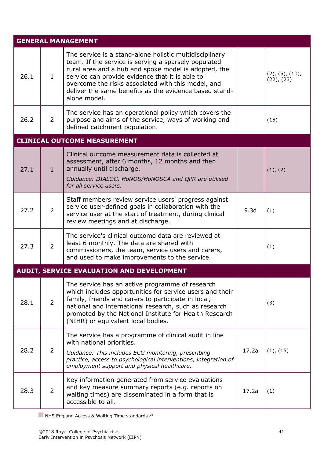<span id="page-40-1"></span><span id="page-40-0"></span>

|      |                | <b>GENERAL MANAGEMENT</b>                                                                                                                                                                                                                                                                                                                                  |       |                                             |
|------|----------------|------------------------------------------------------------------------------------------------------------------------------------------------------------------------------------------------------------------------------------------------------------------------------------------------------------------------------------------------------------|-------|---------------------------------------------|
| 26.1 | $\mathbf{1}$   | The service is a stand-alone holistic multidisciplinary<br>team. If the service is serving a sparsely populated<br>rural area and a hub and spoke model is adopted, the<br>service can provide evidence that it is able to<br>overcome the risks associated with this model, and<br>deliver the same benefits as the evidence based stand-<br>alone model. |       | $(2)$ , $(5)$ , $(10)$ ,<br>$(22)$ , $(23)$ |
| 26.2 | $\overline{2}$ | The service has an operational policy which covers the<br>purpose and aims of the service, ways of working and<br>defined catchment population.                                                                                                                                                                                                            |       | (15)                                        |
|      |                | <b>CLINICAL OUTCOME MEASUREMENT</b>                                                                                                                                                                                                                                                                                                                        |       |                                             |
| 27.1 | $\mathbf{1}$   | Clinical outcome measurement data is collected at<br>assessment, after 6 months, 12 months and then<br>annually until discharge.<br>Guidance: DIALOG, HoNOS/HoNOSCA and QPR are utilised<br>for all service users.                                                                                                                                         |       | (1), (2)                                    |
| 27.2 | $\overline{2}$ | Staff members review service users' progress against<br>service user-defined goals in collaboration with the<br>service user at the start of treatment, during clinical<br>review meetings and at discharge.                                                                                                                                               | 9.3d  | (1)                                         |
| 27.3 | $\overline{2}$ | The service's clinical outcome data are reviewed at<br>least 6 monthly. The data are shared with<br>commissioners, the team, service users and carers,<br>and used to make improvements to the service.                                                                                                                                                    |       | (1)                                         |
|      |                | <b>AUDIT, SERVICE EVALUATION AND DEVELOPMENT</b>                                                                                                                                                                                                                                                                                                           |       |                                             |
| 28.1 | $\overline{2}$ | The service has an active programme of research<br>which includes opportunities for service users and their<br>family, friends and carers to participate in local,<br>national and international research, such as research<br>promoted by the National Institute for Health Research<br>(NIHR) or equivalent local bodies.                                |       | (3)                                         |
| 28.2 | $\overline{2}$ | The service has a programme of clinical audit in line<br>with national priorities.<br>Guidance: This includes ECG monitoring, prescribing<br>practice, access to psychological interventions, integration of<br>employment support and physical healthcare.                                                                                                | 17.2a | (1), (15)                                   |
| 28.3 | $\overline{2}$ | Key information generated from service evaluations<br>and key measure summary reports (e.g. reports on<br>waiting times) are disseminated in a form that is<br>accessible to all.                                                                                                                                                                          | 17.2a | (1)                                         |
|      |                |                                                                                                                                                                                                                                                                                                                                                            |       |                                             |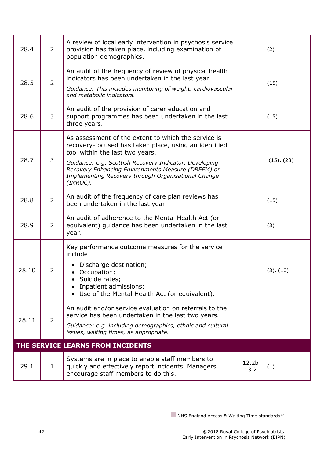<span id="page-41-0"></span>

| 28.4                              | $\overline{2}$ | A review of local early intervention in psychosis service<br>provision has taken place, including examination of<br>population demographics.                                                                                                                                                                                       |                           | (2)             |
|-----------------------------------|----------------|------------------------------------------------------------------------------------------------------------------------------------------------------------------------------------------------------------------------------------------------------------------------------------------------------------------------------------|---------------------------|-----------------|
| 28.5                              | $\overline{2}$ | An audit of the frequency of review of physical health<br>indicators has been undertaken in the last year.<br>Guidance: This includes monitoring of weight, cardiovascular<br>and metabolic indicators.                                                                                                                            |                           | (15)            |
| 28.6                              | 3              | An audit of the provision of carer education and<br>support programmes has been undertaken in the last<br>(15)<br>three years.                                                                                                                                                                                                     |                           |                 |
| 28.7                              | 3              | As assessment of the extent to which the service is<br>recovery-focused has taken place, using an identified<br>tool within the last two years.<br>Guidance: e.g. Scottish Recovery Indicator, Developing<br>Recovery Enhancing Environments Measure (DREEM) or<br>Implementing Recovery through Organisational Change<br>(IMROC). |                           | $(15)$ , $(23)$ |
| 28.8                              | $\overline{2}$ | An audit of the frequency of care plan reviews has<br>been undertaken in the last year.                                                                                                                                                                                                                                            |                           | (15)            |
| 28.9                              | $\overline{2}$ | An audit of adherence to the Mental Health Act (or<br>equivalent) guidance has been undertaken in the last<br>year.                                                                                                                                                                                                                |                           | (3)             |
| 28.10                             | 2              | Key performance outcome measures for the service<br>include:<br>Discharge destination;<br>• Occupation;<br>Suicide rates;<br>Inpatient admissions;<br>Use of the Mental Health Act (or equivalent).                                                                                                                                |                           | (3), (10)       |
| 28.11                             | $\overline{2}$ | An audit and/or service evaluation on referrals to the<br>service has been undertaken in the last two years.<br>Guidance: e.g. including demographics, ethnic and cultural<br>issues, waiting times, as appropriate.                                                                                                               |                           |                 |
| THE SERVICE LEARNS FROM INCIDENTS |                |                                                                                                                                                                                                                                                                                                                                    |                           |                 |
| 29.1                              | $\mathbf{1}$   | Systems are in place to enable staff members to<br>quickly and effectively report incidents. Managers<br>encourage staff members to do this.                                                                                                                                                                                       | 12.2 <sub>b</sub><br>13.2 | (1)             |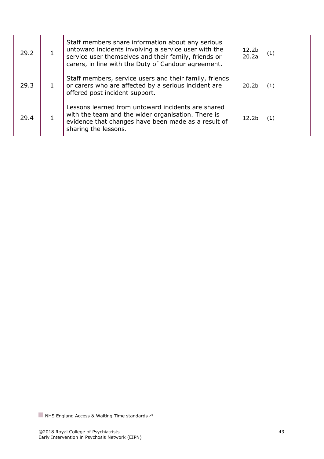| 29.2 | Staff members share information about any serious<br>untoward incidents involving a service user with the<br>service user themselves and their family, friends or<br>carers, in line with the Duty of Candour agreement. | 12.2 <sub>b</sub><br>20.2a | (1) |
|------|--------------------------------------------------------------------------------------------------------------------------------------------------------------------------------------------------------------------------|----------------------------|-----|
| 29.3 | Staff members, service users and their family, friends<br>or carers who are affected by a serious incident are<br>offered post incident support.                                                                         | 20.2 <sub>b</sub>          | (1) |
| 29.4 | Lessons learned from untoward incidents are shared<br>with the team and the wider organisation. There is<br>evidence that changes have been made as a result of<br>sharing the lessons.                                  | 12.2 <sub>b</sub>          | (1) |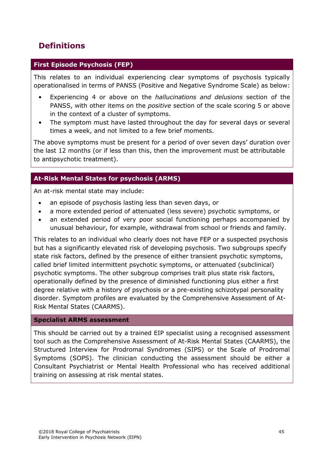# <span id="page-44-0"></span>**Definitions**

#### **First Episode Psychosis (FEP)**

This relates to an individual experiencing clear symptoms of psychosis typically operationalised in terms of PANSS (Positive and Negative Syndrome Scale) as below:

- Experiencing 4 or above on the *hallucinations and delusions* section of the PANSS, with other items on the *positive* section of the scale scoring 5 or above in the context of a cluster of symptoms.
- The symptom must have lasted throughout the day for several days or several times a week, and not limited to a few brief moments.

The above symptoms must be present for a period of over seven days' duration over the last 12 months (or if less than this, then the improvement must be attributable to antipsychotic treatment).

#### **At-Risk Mental States for psychosis (ARMS)**

An at-risk mental state may include:

- an episode of psychosis lasting less than seven days, or
- a more extended period of attenuated (less severe) psychotic symptoms, or
- an extended period of very poor social functioning perhaps accompanied by unusual behaviour, for example, withdrawal from school or friends and family.

This relates to an individual who clearly does not have FEP or a suspected psychosis but has a significantly elevated risk of developing psychosis. Two subgroups specify state risk factors, defined by the presence of either transient psychotic symptoms, called brief limited intermittent psychotic symptoms, or attenuated (subclinical) psychotic symptoms. The other subgroup comprises trait plus state risk factors, operationally defined by the presence of diminished functioning plus either a first degree relative with a history of psychosis or a pre-existing schizotypal personality disorder. Symptom profiles are evaluated by the Comprehensive Assessment of At-Risk Mental States (CAARMS).

#### **Specialist ARMS assessment**

This should be carried out by a trained EIP specialist using a recognised assessment tool such as the Comprehensive Assessment of At-Risk Mental States (CAARMS), the Structured Interview for Prodromal Syndromes (SIPS) or the Scale of Prodromal Symptoms (SOPS). The clinician conducting the assessment should be either a Consultant Psychiatrist or Mental Health Professional who has received additional training on assessing at risk mental states.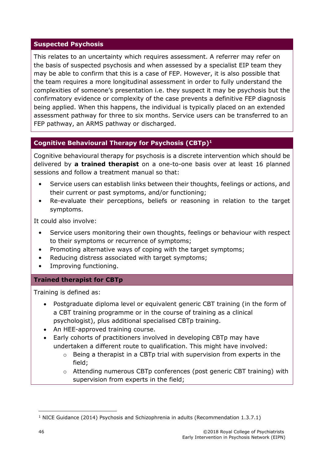#### **Suspected Psychosis**

This relates to an uncertainty which requires assessment. A referrer may refer on the basis of suspected psychosis and when assessed by a specialist EIP team they may be able to confirm that this is a case of FEP. However, it is also possible that the team requires a more longitudinal assessment in order to fully understand the complexities of someone's presentation i.e. they suspect it may be psychosis but the confirmatory evidence or complexity of the case prevents a definitive FEP diagnosis being applied. When this happens, the individual is typically placed on an extended assessment pathway for three to six months. Service users can be transferred to an FEP pathway, an ARMS pathway or discharged.

#### **Cognitive Behavioural Therapy for Psychosis (CBTp)<sup>1</sup>**

Cognitive behavioural therapy for psychosis is a discrete intervention which should be delivered by **a trained therapist** on a one-to-one basis over at least 16 planned sessions and follow a treatment manual so that:

- Service users can establish links between their thoughts, feelings or actions, and their current or past symptoms, and/or functioning;
- Re-evaluate their perceptions, beliefs or reasoning in relation to the target symptoms.

It could also involve:

- Service users monitoring their own thoughts, feelings or behaviour with respect to their symptoms or recurrence of symptoms;
- Promoting alternative ways of coping with the target symptoms;
- Reducing distress associated with target symptoms;
- Improving functioning.

#### **Trained therapist for CBTp**

Training is defined as:

- Postgraduate diploma level or equivalent generic CBT training (in the form of a CBT training programme or in the course of training as a clinical psychologist), plus additional specialised CBTp training.
- An HEE-approved training course.
- Early cohorts of practitioners involved in developing CBTp may have undertaken a different route to qualification. This might have involved:
	- o Being a therapist in a CBTp trial with supervision from experts in the field;
	- o Attending numerous CBTp conferences (post generic CBT training) with supervision from experts in the field;

<sup>&</sup>lt;sup>1</sup> NICE Guidance (2014) Psychosis and Schizophrenia in adults (Recommendation  $1.3.7.1$ )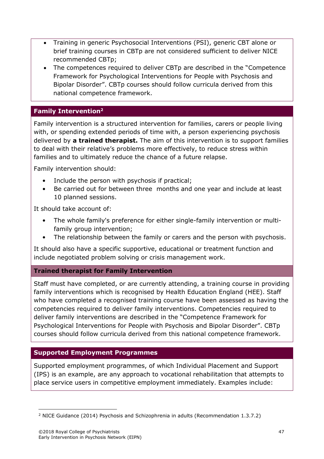- Training in generic Psychosocial Interventions (PSI), generic CBT alone or brief training courses in CBTp are not considered sufficient to deliver NICE recommended CBTp;
- The competences required to deliver CBTp are described in the "Competence Framework for Psychological Interventions for People with Psychosis and Bipolar Disorder". CBTp courses should follow curricula derived from this national competence framework.

#### **Family Intervention<sup>2</sup>**

Family intervention is a structured intervention for families, carers or people living with, or spending extended periods of time with, a person experiencing psychosis delivered by **a trained therapist.** The aim of this intervention is to support families to deal with their relative's problems more effectively, to reduce stress within families and to ultimately reduce the chance of a future relapse.

Family intervention should:

- Include the person with psychosis if practical;
- Be carried out for between three months and one year and include at least 10 planned sessions.

It should take account of:

- The whole family's preference for either single-family intervention or multifamily group intervention;
- The relationship between the family or carers and the person with psychosis.

It should also have a specific supportive, educational or treatment function and include negotiated problem solving or crisis management work.

#### **Trained therapist for Family Intervention**

Staff must have completed, or are currently attending, a training course in providing family interventions which is recognised by Health Education England (HEE). Staff who have completed a recognised training course have been assessed as having the competencies required to deliver family interventions. Competencies required to deliver family interventions are described in the "Competence Framework for Psychological Interventions for People with Psychosis and Bipolar Disorder". CBTp courses should follow curricula derived from this national competence framework.

#### **Supported Employment Programmes**

Supported employment programmes, of which Individual Placement and Support (IPS) is an example, are any approach to vocational rehabilitation that attempts to place service users in competitive employment immediately. Examples include:

 $\overline{a}$ <sup>2</sup> NICE Guidance (2014) Psychosis and Schizophrenia in adults (Recommendation 1.3.7.2)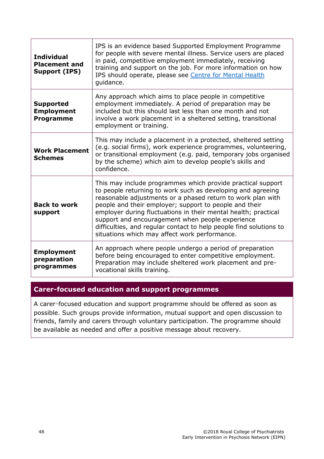| <b>Individual</b><br><b>Placement and</b><br>Support (IPS) | IPS is an evidence based Supported Employment Programme<br>for people with severe mental illness. Service users are placed<br>in paid, competitive employment immediately, receiving<br>training and support on the job. For more information on how<br>IPS should operate, please see Centre for Mental Health<br>guidance.                                                                                                                                                                     |
|------------------------------------------------------------|--------------------------------------------------------------------------------------------------------------------------------------------------------------------------------------------------------------------------------------------------------------------------------------------------------------------------------------------------------------------------------------------------------------------------------------------------------------------------------------------------|
| <b>Supported</b><br><b>Employment</b><br><b>Programme</b>  | Any approach which aims to place people in competitive<br>employment immediately. A period of preparation may be<br>included but this should last less than one month and not<br>involve a work placement in a sheltered setting, transitional<br>employment or training.                                                                                                                                                                                                                        |
| <b>Work Placement</b><br><b>Schemes</b>                    | This may include a placement in a protected, sheltered setting<br>(e.g. social firms), work experience programmes, volunteering,<br>or transitional employment (e.g. paid, temporary jobs organised<br>by the scheme) which aim to develop people's skills and<br>confidence.                                                                                                                                                                                                                    |
| <b>Back to work</b><br>support                             | This may include programmes which provide practical support<br>to people returning to work such as developing and agreeing<br>reasonable adjustments or a phased return to work plan with<br>people and their employer; support to people and their<br>employer during fluctuations in their mental health; practical<br>support and encouragement when people experience<br>difficulties, and regular contact to help people find solutions to<br>situations which may affect work performance. |
| <b>Employment</b><br>preparation<br>programmes             | An approach where people undergo a period of preparation<br>before being encouraged to enter competitive employment.<br>Preparation may include sheltered work placement and pre-<br>vocational skills training.                                                                                                                                                                                                                                                                                 |

#### **Carer-focused education and support programmes**

A carer‑focused education and support programme should be offered as soon as possible. Such groups provide information, mutual support and open discussion to friends, family and carers through voluntary participation. The programme should be available as needed and offer a positive message about recovery.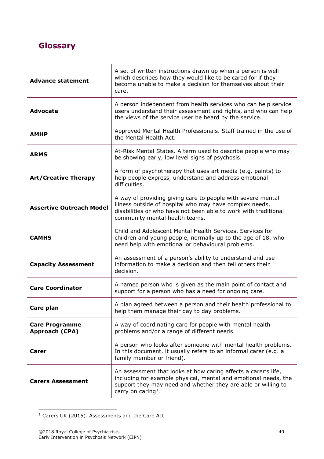# <span id="page-48-0"></span>**Glossary**

| <b>Advance statement</b>                | A set of written instructions drawn up when a person is well<br>which describes how they would like to be cared for if they<br>become unable to make a decision for themselves about their<br>care.                                  |
|-----------------------------------------|--------------------------------------------------------------------------------------------------------------------------------------------------------------------------------------------------------------------------------------|
| <b>Advocate</b>                         | A person independent from health services who can help service<br>users understand their assessment and rights, and who can help<br>the views of the service user be heard by the service.                                           |
| <b>AMHP</b>                             | Approved Mental Health Professionals. Staff trained in the use of<br>the Mental Health Act.                                                                                                                                          |
| <b>ARMS</b>                             | At-Risk Mental States. A term used to describe people who may<br>be showing early, low level signs of psychosis.                                                                                                                     |
| <b>Art/Creative Therapy</b>             | A form of psychotherapy that uses art media (e.g. paints) to<br>help people express, understand and address emotional<br>difficulties.                                                                                               |
| <b>Assertive Outreach Model</b>         | A way of providing giving care to people with severe mental<br>illness outside of hospital who may have complex needs,<br>disabilities or who have not been able to work with traditional<br>community mental health teams.          |
| <b>CAMHS</b>                            | Child and Adolescent Mental Health Services. Services for<br>children and young people, normally up to the age of 18, who<br>need help with emotional or behavioural problems.                                                       |
| <b>Capacity Assessment</b>              | An assessment of a person's ability to understand and use<br>information to make a decision and then tell others their<br>decision.                                                                                                  |
| <b>Care Coordinator</b>                 | A named person who is given as the main point of contact and<br>support for a person who has a need for ongoing care.                                                                                                                |
| Care plan                               | A plan agreed between a person and their health professional to<br>help them manage their day to day problems.                                                                                                                       |
| <b>Care Programme</b><br>Approach (CPA) | A way of coordinating care for people with mental health<br>problems and/or a range of different needs.                                                                                                                              |
| Carer                                   | A person who looks after someone with mental health problems.<br>In this document, it usually refers to an informal carer (e.g. a<br>family member or friend).                                                                       |
| <b>Carers Assessment</b>                | An assessment that looks at how caring affects a carer's life,<br>including for example physical, mental and emotional needs, the<br>support they may need and whether they are able or willing to<br>carry on caring <sup>3</sup> . |

 $3$  Carers UK (2015). Assessments and the Care Act.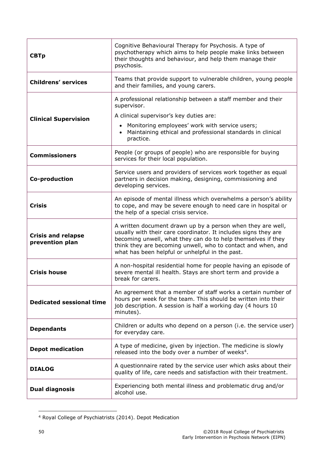| <b>CBTp</b>                                  | Cognitive Behavioural Therapy for Psychosis. A type of<br>psychotherapy which aims to help people make links between<br>their thoughts and behaviour, and help them manage their<br>psychosis.                                                                                                                    |  |
|----------------------------------------------|-------------------------------------------------------------------------------------------------------------------------------------------------------------------------------------------------------------------------------------------------------------------------------------------------------------------|--|
| <b>Childrens' services</b>                   | Teams that provide support to vulnerable children, young people<br>and their families, and young carers.                                                                                                                                                                                                          |  |
| <b>Clinical Supervision</b>                  | A professional relationship between a staff member and their<br>supervisor.<br>A clinical supervisor's key duties are:<br>Monitoring employees' work with service users;<br>$\bullet$<br>Maintaining ethical and professional standards in clinical<br>practice.                                                  |  |
| <b>Commissioners</b>                         | People (or groups of people) who are responsible for buying<br>services for their local population.                                                                                                                                                                                                               |  |
| Co-production                                | Service users and providers of services work together as equal<br>partners in decision making, designing, commissioning and<br>developing services.                                                                                                                                                               |  |
| <b>Crisis</b>                                | An episode of mental illness which overwhelms a person's ability<br>to cope, and may be severe enough to need care in hospital or<br>the help of a special crisis service.                                                                                                                                        |  |
| <b>Crisis and relapse</b><br>prevention plan | A written document drawn up by a person when they are well,<br>usually with their care coordinator. It includes signs they are<br>becoming unwell, what they can do to help themselves if they<br>think they are becoming unwell, who to contact and when, and<br>what has been helpful or unhelpful in the past. |  |
| <b>Crisis house</b>                          | A non-hospital residential home for people having an episode of<br>severe mental ill health. Stays are short term and provide a<br>break for carers.                                                                                                                                                              |  |
| <b>Dedicated sessional time</b>              | An agreement that a member of staff works a certain number of<br>hours per week for the team. This should be written into their<br>job description. A session is half a working day (4 hours 10<br>minutes).                                                                                                      |  |
| <b>Dependants</b>                            | Children or adults who depend on a person (i.e. the service user)<br>for everyday care.                                                                                                                                                                                                                           |  |
| <b>Depot medication</b>                      | A type of medicine, given by injection. The medicine is slowly<br>released into the body over a number of weeks <sup>4</sup> .                                                                                                                                                                                    |  |
| <b>DIALOG</b>                                | A questionnaire rated by the service user which asks about their<br>quality of life, care needs and satisfaction with their treatment.                                                                                                                                                                            |  |
| <b>Dual diagnosis</b>                        | Experiencing both mental illness and problematic drug and/or<br>alcohol use.                                                                                                                                                                                                                                      |  |

<sup>4</sup> Royal College of Psychiatrists (2014). Depot Medication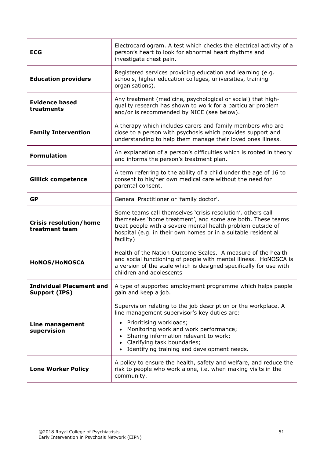| <b>ECG</b>                                       | Electrocardiogram. A test which checks the electrical activity of a<br>person's heart to look for abnormal heart rhythms and<br>investigate chest pain.                                                                                                                                                    |
|--------------------------------------------------|------------------------------------------------------------------------------------------------------------------------------------------------------------------------------------------------------------------------------------------------------------------------------------------------------------|
| <b>Education providers</b>                       | Registered services providing education and learning (e.g.<br>schools, higher education colleges, universities, training<br>organisations).                                                                                                                                                                |
| <b>Evidence based</b><br>treatments              | Any treatment (medicine, psychological or social) that high-<br>quality research has shown to work for a particular problem<br>and/or is recommended by NICE (see below).                                                                                                                                  |
| <b>Family Intervention</b>                       | A therapy which includes carers and family members who are<br>close to a person with psychosis which provides support and<br>understanding to help them manage their loved ones illness.                                                                                                                   |
| <b>Formulation</b>                               | An explanation of a person's difficulties which is rooted in theory<br>and informs the person's treatment plan.                                                                                                                                                                                            |
| <b>Gillick competence</b>                        | A term referring to the ability of a child under the age of 16 to<br>consent to his/her own medical care without the need for<br>parental consent.                                                                                                                                                         |
| <b>GP</b>                                        | General Practitioner or 'family doctor'.                                                                                                                                                                                                                                                                   |
| <b>Crisis resolution/home</b><br>treatment team  | Some teams call themselves 'crisis resolution', others call<br>themselves 'home treatment', and some are both. These teams<br>treat people with a severe mental health problem outside of<br>hospital (e.g. in their own homes or in a suitable residential<br>facility)                                   |
| HoNOS/HoNOSCA                                    | Health of the Nation Outcome Scales. A measure of the health<br>and social functioning of people with mental illness. HoNOSCA is<br>a version of the scale which is designed specifically for use with<br>children and adolescents                                                                         |
| <b>Individual Placement and</b><br>Support (IPS) | A type of supported employment programme which helps people<br>gain and keep a job.                                                                                                                                                                                                                        |
| Line management<br>supervision                   | Supervision relating to the job description or the workplace. A<br>line management supervisor's key duties are:<br>Prioritising workloads;<br>Monitoring work and work performance;<br>Sharing information relevant to work;<br>Clarifying task boundaries;<br>Identifying training and development needs. |
| <b>Lone Worker Policy</b>                        | A policy to ensure the health, safety and welfare, and reduce the<br>risk to people who work alone, i.e. when making visits in the<br>community.                                                                                                                                                           |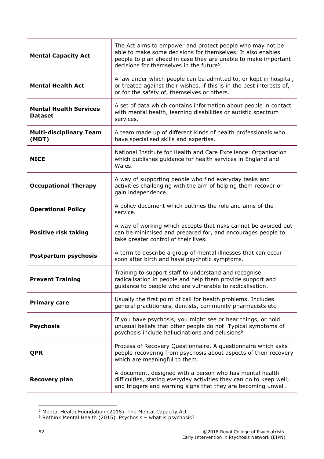| <b>Mental Capacity Act</b>                      | The Act aims to empower and protect people who may not be<br>able to make some decisions for themselves. It also enables<br>people to plan ahead in case they are unable to make important<br>decisions for themselves in the future <sup>5</sup> . |
|-------------------------------------------------|-----------------------------------------------------------------------------------------------------------------------------------------------------------------------------------------------------------------------------------------------------|
| <b>Mental Health Act</b>                        | A law under which people can be admitted to, or kept in hospital,<br>or treated against their wishes, if this is in the best interests of,<br>or for the safety of, themselves or others.                                                           |
| <b>Mental Health Services</b><br><b>Dataset</b> | A set of data which contains information about people in contact<br>with mental health, learning disabilities or autistic spectrum<br>services.                                                                                                     |
| <b>Multi-disciplinary Team</b><br>(MDT)         | A team made up of different kinds of health professionals who<br>have specialised skills and expertise.                                                                                                                                             |
| <b>NICE</b>                                     | National Institute for Health and Care Excellence. Organisation<br>which publishes guidance for health services in England and<br>Wales.                                                                                                            |
| <b>Occupational Therapy</b>                     | A way of supporting people who find everyday tasks and<br>activities challenging with the aim of helping them recover or<br>gain independence.                                                                                                      |
| <b>Operational Policy</b>                       | A policy document which outlines the role and aims of the<br>service.                                                                                                                                                                               |
| <b>Positive risk taking</b>                     | A way of working which accepts that risks cannot be avoided but<br>can be minimised and prepared for, and encourages people to<br>take greater control of their lives.                                                                              |
| Postpartum psychosis                            | A term to describe a group of mental illnesses that can occur<br>soon after birth and have psychotic symptoms.                                                                                                                                      |
| <b>Prevent Training</b>                         | Training to support staff to understand and recognise<br>radicalisation in people and help them provide support and<br>guidance to people who are vulnerable to radicalisation.                                                                     |
| <b>Primary care</b>                             | Usually the first point of call for health problems. Includes<br>general practitioners, dentists, community pharmacists etc.                                                                                                                        |
| <b>Psychosis</b>                                | If you have psychosis, you might see or hear things, or hold<br>unusual beliefs that other people do not. Typical symptoms of<br>psychosis include hallucinations and delusions <sup>6</sup> .                                                      |
| <b>QPR</b>                                      | Process of Recovery Questionnaire. A questionnaire which asks<br>people recovering from psychosis about aspects of their recovery<br>which are meaningful to them.                                                                                  |
| <b>Recovery plan</b>                            | A document, designed with a person who has mental health<br>difficulties, stating everyday activities they can do to keep well,<br>and triggers and warning signs that they are becoming unwell.                                                    |

<sup>&</sup>lt;sup>5</sup> Mental Health Foundation (2015). The Mental Capacity Act

<sup>6</sup> Rethink Mental Health (2015). Psychosis – what is psychosis?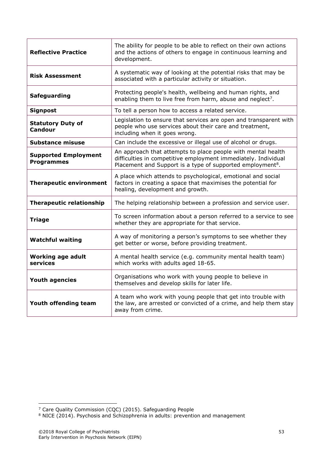| <b>Reflective Practice</b>                       | The ability for people to be able to reflect on their own actions<br>and the actions of others to engage in continuous learning and<br>development.                                                      |
|--------------------------------------------------|----------------------------------------------------------------------------------------------------------------------------------------------------------------------------------------------------------|
| <b>Risk Assessment</b>                           | A systematic way of looking at the potential risks that may be<br>associated with a particular activity or situation.                                                                                    |
| <b>Safeguarding</b>                              | Protecting people's health, wellbeing and human rights, and<br>enabling them to live free from harm, abuse and neglect <sup>7</sup> .                                                                    |
| <b>Signpost</b>                                  | To tell a person how to access a related service.                                                                                                                                                        |
| <b>Statutory Duty of</b><br><b>Candour</b>       | Legislation to ensure that services are open and transparent with<br>people who use services about their care and treatment,<br>including when it goes wrong.                                            |
| <b>Substance misuse</b>                          | Can include the excessive or illegal use of alcohol or drugs.                                                                                                                                            |
| <b>Supported Employment</b><br><b>Programmes</b> | An approach that attempts to place people with mental health<br>difficulties in competitive employment immediately. Individual<br>Placement and Support is a type of supported employment <sup>8</sup> . |
| <b>Therapeutic environment</b>                   | A place which attends to psychological, emotional and social<br>factors in creating a space that maximises the potential for<br>healing, development and growth.                                         |
| <b>Therapeutic relationship</b>                  | The helping relationship between a profession and service user.                                                                                                                                          |
| <b>Triage</b>                                    | To screen information about a person referred to a service to see<br>whether they are appropriate for that service.                                                                                      |
| <b>Watchful waiting</b>                          | A way of monitoring a person's symptoms to see whether they<br>get better or worse, before providing treatment.                                                                                          |
| <b>Working age adult</b><br>services             | A mental health service (e.g. community mental health team)<br>which works with adults aged 18-65.                                                                                                       |
| <b>Youth agencies</b>                            | Organisations who work with young people to believe in<br>themselves and develop skills for later life.                                                                                                  |
| Youth offending team                             | A team who work with young people that get into trouble with<br>the law, are arrested or convicted of a crime, and help them stay<br>away from crime.                                                    |

<sup>&</sup>lt;sup>7</sup> Care Quality Commission (CQC) (2015). Safeguarding People

 $8$  NICE (2014). Psychosis and Schizophrenia in adults: prevention and management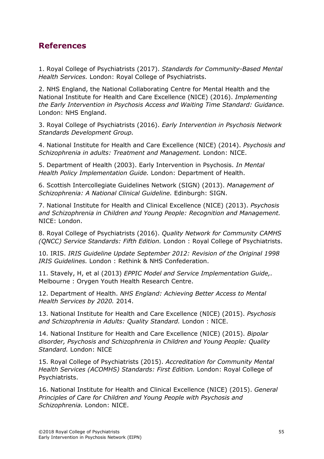## <span id="page-54-0"></span>**References**

1. Royal College of Psychiatrists (2017). *Standards for Community-Based Mental Health Services.* London: Royal College of Psychiatrists.

2. NHS England, the National Collaborating Centre for Mental Health and the National Institute for Health and Care Excellence (NICE) (2016). *Implementing the Early Intervention in Psychosis Access and Waiting Time Standard: Guidance.*  London: NHS England.

3. Royal College of Psychiatrists (2016). *Early Intervention in Psychosis Network Standards Development Group.* 

4. National Institute for Health and Care Excellence (NICE) (2014). *Psychosis and Schizophrenia in adults: Treatment and Management.* London: NICE.

5. Department of Health (2003). Early Intervention in Psychosis. *In Mental Health Policy Implementation Guide.* London: Department of Health.

6. Scottish Intercollegiate Guidelines Network (SIGN) (2013). *Management of Schizophrenia: A National Clinical Guideline.* Edinburgh: SIGN.

7. National Institute for Health and Clinical Excellence (NICE) (2013). *Psychosis and Schizophrenia in Children and Young People: Recognition and Management.*  NICE: London.

8. Royal College of Psychiatrists (2016). *Quality Network for Community CAMHS (QNCC) Service Standards: Fifth Edition.* London : Royal College of Psychiatrists.

10. IRIS. *IRIS Guideline Update September 2012: Revision of the Original 1998 IRIS Guidelines.* London : Rethink & NHS Confederation.

11. Stavely, H, et al (2013) *EPPIC Model and Service Implementation Guide,.*  Melbourne : Orygen Youth Health Research Centre.

12. Department of Health. *NHS England: Achieving Better Access to Mental Health Services by 2020.* 2014.

13. National Institute for Health and Care Excellence (NICE) (2015). *Psychosis and Schizophrenia in Adults: Quality Standard.* London : NICE.

14. National Institure for Health and Care Excellence (NICE) (2015). *Bipolar disorder, Psychosis and Schizophrenia in Children and Young People: Quality Standard.* London: NICE

15. Royal College of Psychiatrists (2015). *Accreditation for Community Mental Health Services (ACOMHS) Standards: First Edition.* London: Royal College of Psychiatrists.

16. National Institute for Health and Clinical Excellence (NICE) (2015). *General Principles of Care for Children and Young People with Psychosis and Schizophrenia.* London: NICE.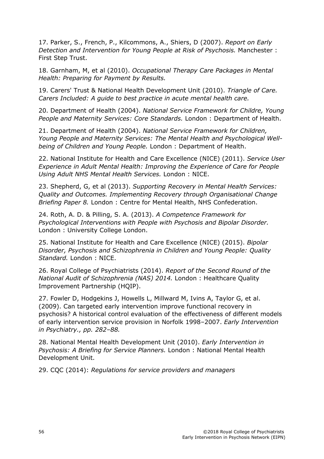17. Parker, S., French, P., Kilcommons, A., Shiers, D (2007). *Report on Early Detection and Intervention for Young People at Risk of Psychosis.* Manchester : First Step Trust.

18. Garnham, M, et al (2010). *Occupational Therapy Care Packages in Mental Health: Preparing for Payment by Results.* 

19. Carers' Trust & National Health Development Unit (2010). *Triangle of Care. Carers Included: A guide to best practice in acute mental health care.* 

20. Department of Health (2004). *National Service Framework for Childre, Young People and Maternity Services: Core Standards.* London : Department of Health.

21. Department of Health (2004). *National Service Framework for Children, Young People and Maternity Services: The Mental Health and Psychological Wellbeing of Children and Young People.* London : Department of Health.

22. National Institute for Health and Care Excellence (NICE) (2011). *Service User Experience in Adult Mental Health: Improving the Experience of Care for People Using Adult NHS Mental Health Services.* London : NICE.

23. Shepherd, G, et al (2013). *Supporting Recovery in Mental Health Services: Quality and Outcomes. Implementing Recovery through Organisational Change Briefing Paper 8.* London : Centre for Mental Health, NHS Confederation.

24. Roth, A. D. & Pilling, S. A. (2013). *A Competence Framework for Psychological Interventions with People with Psychosis and Bipolar Disorder.*  London : University College London.

25. National Institute for Health and Care Excellence (NICE) (2015). *Bipolar Disorder, Psychosis and Schizophrenia in Children and Young People: Quality Standard.* London : NICE.

26. Royal College of Psychiatrists (2014). *Report of the Second Round of the National Audit of Schizophrenia (NAS) 2014.* London : Healthcare Quality Improvement Partnership (HQIP).

27. Fowler D, Hodgekins J, Howells L, Millward M, Ivins A, Taylor G, et al. (2009). Can targeted early intervention improve functional recovery in psychosis? A historical control evaluation of the effectiveness of different models of early intervention service provision in Norfolk 1998–2007. *Early Intervention in Psychiatry., pp. 282–88.*

28. National Mental Health Development Unit (2010). *Early Intervention in Psychosis: A Briefing for Service Planners.* London : National Mental Health Development Unit.

29. CQC (2014): *Regulations for service providers and managers*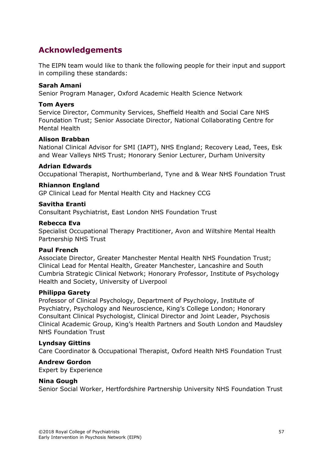# <span id="page-56-0"></span>**Acknowledgements**

The EIPN team would like to thank the following people for their input and support in compiling these standards:

#### **Sarah Amani**

Senior Program Manager, Oxford Academic Health Science Network

#### **Tom Ayers**

Service Director, Community Services, Sheffield Health and Social Care NHS Foundation Trust; Senior Associate Director, National Collaborating Centre for Mental Health

#### **Alison Brabban**

National Clinical Advisor for SMI (IAPT), NHS England; Recovery Lead, Tees, Esk and Wear Valleys NHS Trust; Honorary Senior Lecturer, Durham University

#### **Adrian Edwards**

Occupational Therapist, Northumberland, Tyne and & Wear NHS Foundation Trust

#### **Rhiannon England**

GP Clinical Lead for Mental Health City and Hackney CCG

#### **Savitha Eranti**

Consultant Psychiatrist, East London NHS Foundation Trust

#### **Rebecca Eva**

Specialist Occupational Therapy Practitioner, Avon and Wiltshire Mental Health Partnership NHS Trust

#### **Paul French**

Associate Director, Greater Manchester Mental Health NHS Foundation Trust; Clinical Lead for Mental Health, Greater Manchester, Lancashire and South Cumbria Strategic Clinical Network; Honorary Professor, Institute of Psychology Health and Society, University of Liverpool

#### **Philippa Garety**

Professor of Clinical Psychology, Department of Psychology, Institute of Psychiatry, Psychology and Neuroscience, King's College London; Honorary Consultant Clinical Psychologist, Clinical Director and Joint Leader, Psychosis Clinical Academic Group, King's Health Partners and South London and Maudsley NHS Foundation Trust

#### **Lyndsay Gittins**

Care Coordinator & Occupational Therapist, Oxford Health NHS Foundation Trust

#### **Andrew Gordon**

Expert by Experience

#### **Nina Gough**

Senior Social Worker, Hertfordshire Partnership University NHS Foundation Trust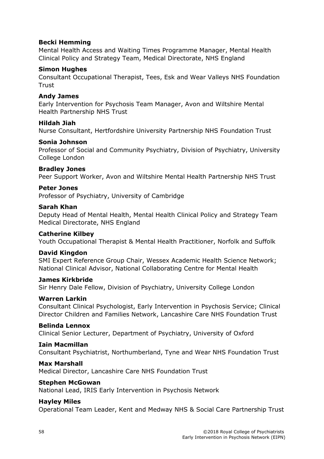#### **Becki Hemming**

Mental Health Access and Waiting Times Programme Manager, Mental Health Clinical Policy and Strategy Team, Medical Directorate, NHS England

#### **Simon Hughes**

Consultant Occupational Therapist, Tees, Esk and Wear Valleys NHS Foundation **Trust** 

#### **Andy James**

Early Intervention for Psychosis Team Manager, Avon and Wiltshire Mental Health Partnership NHS Trust

#### **Hildah Jiah**

Nurse Consultant, Hertfordshire University Partnership NHS Foundation Trust

#### **Sonia Johnson**

Professor of Social and Community Psychiatry, Division of Psychiatry, University College London

#### **Bradley Jones**

Peer Support Worker, Avon and Wiltshire Mental Health Partnership NHS Trust

#### **Peter Jones**

Professor of Psychiatry, University of Cambridge

#### **Sarah Khan**

Deputy Head of Mental Health, Mental Health Clinical Policy and Strategy Team Medical Directorate, NHS England

#### **Catherine Kilbey**

Youth Occupational Therapist & Mental Health Practitioner, Norfolk and Suffolk

#### **David Kingdon**

SMI Expert Reference Group Chair, Wessex Academic Health Science Network; National Clinical Advisor, National Collaborating Centre for Mental Health

#### **James Kirkbride**

Sir Henry Dale Fellow, Division of Psychiatry, University College London

#### **Warren Larkin**

Consultant Clinical Psychologist, Early Intervention in Psychosis Service; Clinical Director Children and Families Network, Lancashire Care NHS Foundation Trust

#### **Belinda Lennox**

Clinical Senior Lecturer, Department of Psychiatry, University of Oxford

#### **Iain Macmillan**

Consultant Psychiatrist, Northumberland, Tyne and Wear NHS Foundation Trust

#### **Max Marshall**

Medical Director, Lancashire Care NHS Foundation Trust

#### **Stephen McGowan**

National Lead, IRIS Early Intervention in Psychosis Network

#### **Hayley Miles**

Operational Team Leader, Kent and Medway NHS & Social Care Partnership Trust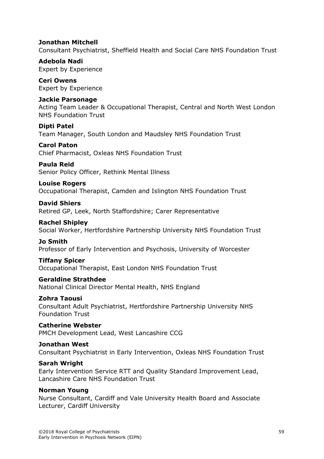#### **Jonathan Mitchell**

Consultant Psychiatrist, Sheffield Health and Social Care NHS Foundation Trust

**Adebola Nadi** Expert by Experience

**Ceri Owens** Expert by Experience

#### **Jackie Parsonage**

Acting Team Leader & Occupational Therapist, Central and North West London NHS Foundation Trust

**Dipti Patel** Team Manager, South London and Maudsley NHS Foundation Trust

**Carol Paton**

Chief Pharmacist, Oxleas NHS Foundation Trust

#### **Paula Reid**

Senior Policy Officer, Rethink Mental Illness

#### **Louise Rogers**

Occupational Therapist, Camden and Islington NHS Foundation Trust

#### **David Shiers**

Retired GP, Leek, North Staffordshire; Carer Representative

#### **Rachel Shipley**

Social Worker, Hertfordshire Partnership University NHS Foundation Trust

#### **Jo Smith**

Professor of Early Intervention and Psychosis, University of Worcester

#### **Tiffany Spicer**

Occupational Therapist, East London NHS Foundation Trust

#### **Geraldine Strathdee**

National Clinical Director Mental Health, NHS England

#### **Zohra Taousi**

Consultant Adult Psychiatrist, Hertfordshire Partnership University NHS Foundation Trust

#### **Catherine Webster**

PMCH Development Lead, West Lancashire CCG

#### **Jonathan West**

Consultant Psychiatrist in Early Intervention, Oxleas NHS Foundation Trust

#### **Sarah Wright**

Early Intervention Service RTT and Quality Standard Improvement Lead, Lancashire Care NHS Foundation Trust

#### **Norman Young**

Nurse Consultant, Cardiff and Vale University Health Board and Associate Lecturer, Cardiff University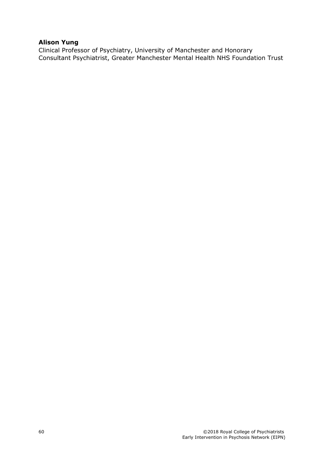#### **Alison Yung**

Clinical Professor of Psychiatry, University of Manchester and Honorary Consultant Psychiatrist, Greater Manchester Mental Health NHS Foundation Trust